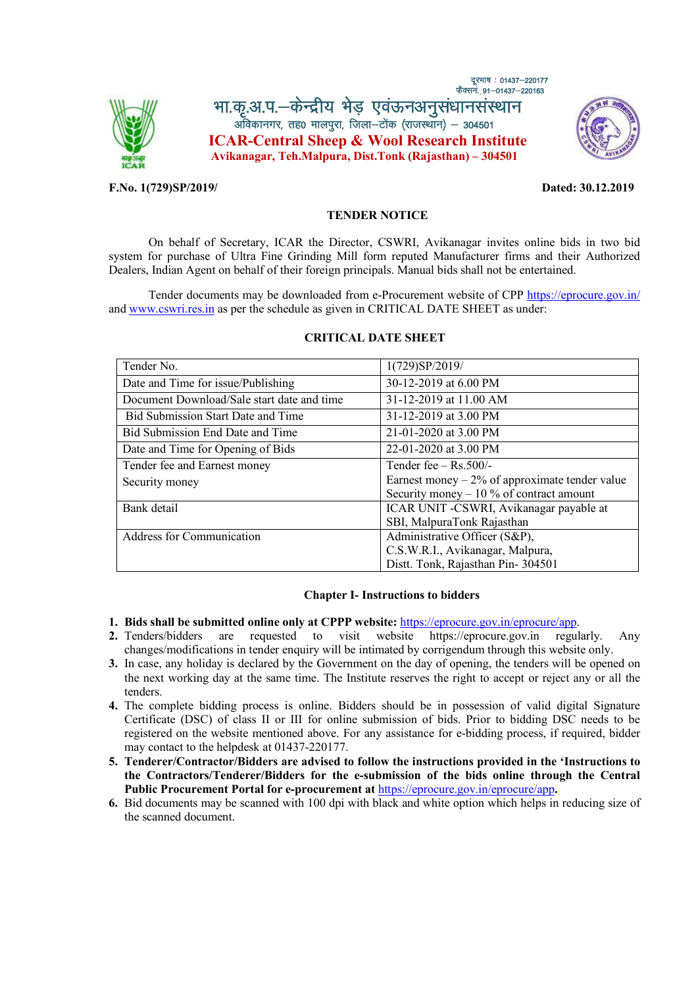

फैक्सनं. 91–01437–220163 भा.कृ.आ.प.-केन्द्रीय भेड़ एवऊनअनुसंधानसंस्थान<br>अविकानगर, तह0 मालपूरा, जिला-टोंक (राजस्थान) - 304501 **ICAR-Central Sheep & Wool Research Institute Avikanagar, Teh.Malpura, Dist.Tonk (Rajasthan) – 304501**



#### **F.No. 1(729)SP/2019/ Dated: 30.12.2019**

दरभाष**: 01437–220177** 

#### **TENDER NOTICE**

On behalf of Secretary, ICAR the Director, CSWRI, Avikanagar invites online bids in two bid system for purchase of Ultra Fine Grinding Mill form reputed Manufacturer firms and their Authorized Dealers, Indian Agent on behalf of their foreign principals. Manual bids shall not be entertained.

Tender documents may be downloaded from e-Procurement website of CPP https://eprocure.gov.in/ and www.cswri.res.in as per the schedule as given in CRITICAL DATE SHEET as u[nder:](https://eprocure.gov.in/eprocure/app) 

| Tender No.                                 | 1(729)SP/2019/                                   |
|--------------------------------------------|--------------------------------------------------|
| Date and Time for issue/Publishing         | 30-12-2019 at 6.00 PM                            |
| Document Download/Sale start date and time | 31-12-2019 at 11.00 AM                           |
| <b>Bid Submission Start Date and Time</b>  | 31-12-2019 at 3.00 PM                            |
| Bid Submission End Date and Time           | 21-01-2020 at 3.00 PM                            |
| Date and Time for Opening of Bids          | 22-01-2020 at 3.00 PM                            |
| Tender fee and Earnest money               | Tender fee $-$ Rs.500/-                          |
| Security money                             | Earnest money $-2\%$ of approximate tender value |
|                                            | Security money $-10\%$ of contract amount        |
| Bank detail                                | ICAR UNIT -CSWRI, Avikanagar payable at          |
|                                            | SBI, MalpuraTonk Rajasthan                       |
| Address for Communication                  | Administrative Officer (S&P),                    |
|                                            | C.S.W.R.I., Avikanagar, Malpura,                 |
|                                            | Distt. Tonk, Rajasthan Pin-304501                |

#### **CRITICAL DATE SHEET**

#### **Chapter I- Instructions to bidders**

- **1. Bids shall be submitted online only at CPPP website:** https://eprocure.gov.in/eprocure/app.
- **2.** Tenders/bidders are requested to visit website https://eprocure.gov.in regularly. Any changes/modifications in tender enquiry will be intimated by corrigendum through this website only.
- **3.** In case, any holiday is declared by the Government on t[he day of opening, the tenders will be op](https://eprocure.gov.in/eprocure/app)ened on the next working day at the same time. The Institute reserves the right to accept or reject any or all the tenders.
- **4.** The complete bidding process is online. Bidders should be in possession of valid digital Signature Certificate (DSC) of class II or III for online submission of bids. Prior to bidding DSC needs to be registered on the website mentioned above. For any assistance for e-bidding process, if required, bidder may contact to the helpdesk at 01437-220177.
- **5. Tenderer/Contractor/Bidders are advised to follow the instructions provided in the 'Instructions to the Contractors/Tenderer/Bidders for the e-submission of the bids online through the Central Public Procurement Portal for e-procurement at** https://eprocure.gov.in/eprocure/app**.**
- **6.** Bid documents may be scanned with 100 dpi with black and white option which helps in reducing size of the scanned document.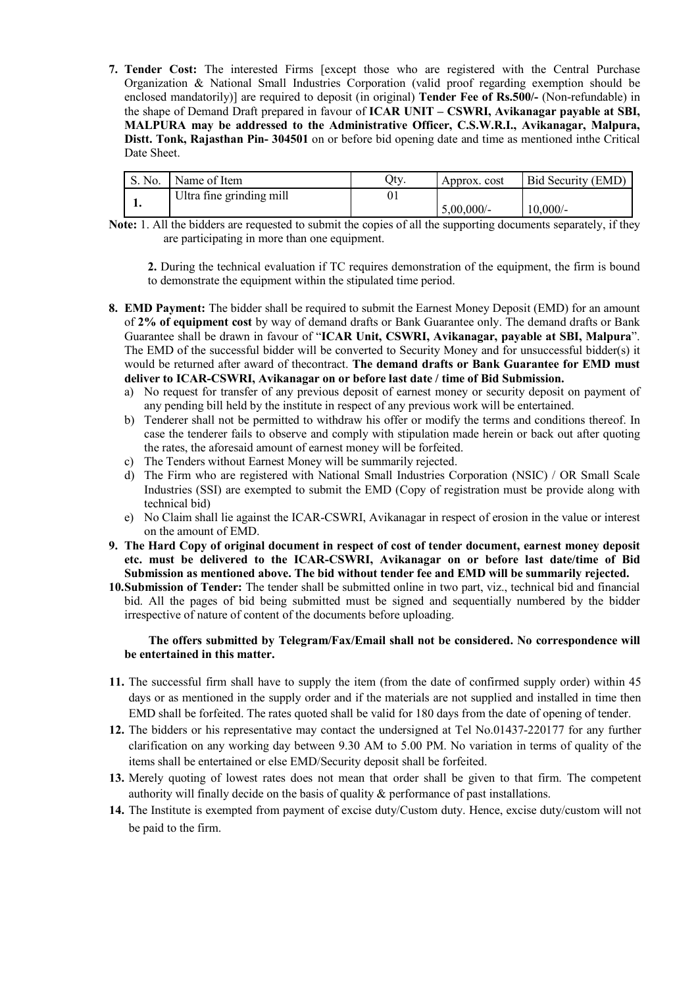**7. Tender Cost:** The interested Firms [except those who are registered with the Central Purchase Organization & National Small Industries Corporation (valid proof regarding exemption should be enclosed mandatorily)] are required to deposit (in original) **Tender Fee of Rs.500/-** (Non-refundable) in the shape of Demand Draft prepared in favour of **ICAR UNIT – CSWRI, Avikanagar payable at SBI, MALPURA may be addressed to the Administrative Officer, C.S.W.R.I., Avikanagar, Malpura, Distt. Tonk, Rajasthan Pin- 304501** on or before bid opening date and time as mentioned inthe Critical Date Sheet.

| S. No. | Name of Item             | Otv | Approx. cost  | Bid Security (EMD) |
|--------|--------------------------|-----|---------------|--------------------|
|        | Ultra fine grinding mill |     |               |                    |
|        |                          |     | $5,00,000/$ - | $10,000/-$         |

**Note:** 1. All the bidders are requested to submit the copies of all the supporting documents separately, if they are participating in more than one equipment.

**2.** During the technical evaluation if TC requires demonstration of the equipment, the firm is bound to demonstrate the equipment within the stipulated time period.

- **8. EMD Payment:** The bidder shall be required to submit the Earnest Money Deposit (EMD) for an amount of **2% of equipment cost** by way of demand drafts or Bank Guarantee only. The demand drafts or Bank Guarantee shall be drawn in favour of "**ICAR Unit, CSWRI, Avikanagar, payable at SBI, Malpura**". The EMD of the successful bidder will be converted to Security Money and for unsuccessful bidder(s) it would be returned after award of thecontract. **The demand drafts or Bank Guarantee for EMD must deliver to ICAR-CSWRI, Avikanagar on or before last date / time of Bid Submission.**
	- a) No request for transfer of any previous deposit of earnest money or security deposit on payment of any pending bill held by the institute in respect of any previous work will be entertained.
	- b) Tenderer shall not be permitted to withdraw his offer or modify the terms and conditions thereof. In case the tenderer fails to observe and comply with stipulation made herein or back out after quoting the rates, the aforesaid amount of earnest money will be forfeited.
	- c) The Tenders without Earnest Money will be summarily rejected.
	- d) The Firm who are registered with National Small Industries Corporation (NSIC) / OR Small Scale Industries (SSI) are exempted to submit the EMD (Copy of registration must be provide along with technical bid)
	- e) No Claim shall lie against the ICAR-CSWRI, Avikanagar in respect of erosion in the value or interest on the amount of EMD.
- **9. The Hard Copy of original document in respect of cost of tender document, earnest money deposit etc. must be delivered to the ICAR-CSWRI, Avikanagar on or before last date/time of Bid Submission as mentioned above. The bid without tender fee and EMD will be summarily rejected.**
- **10.Submission of Tender:** The tender shall be submitted online in two part, viz., technical bid and financial bid. All the pages of bid being submitted must be signed and sequentially numbered by the bidder irrespective of nature of content of the documents before uploading.

#### **The offers submitted by Telegram/Fax/Email shall not be considered. No correspondence will be entertained in this matter.**

- **11.** The successful firm shall have to supply the item (from the date of confirmed supply order) within 45 days or as mentioned in the supply order and if the materials are not supplied and installed in time then EMD shall be forfeited. The rates quoted shall be valid for 180 days from the date of opening of tender.
- **12.** The bidders or his representative may contact the undersigned at Tel No.01437-220177 for any further clarification on any working day between 9.30 AM to 5.00 PM. No variation in terms of quality of the items shall be entertained or else EMD/Security deposit shall be forfeited.
- **13.** Merely quoting of lowest rates does not mean that order shall be given to that firm. The competent authority will finally decide on the basis of quality & performance of past installations.
- **14.** The Institute is exempted from payment of excise duty/Custom duty. Hence, excise duty/custom will not be paid to the firm.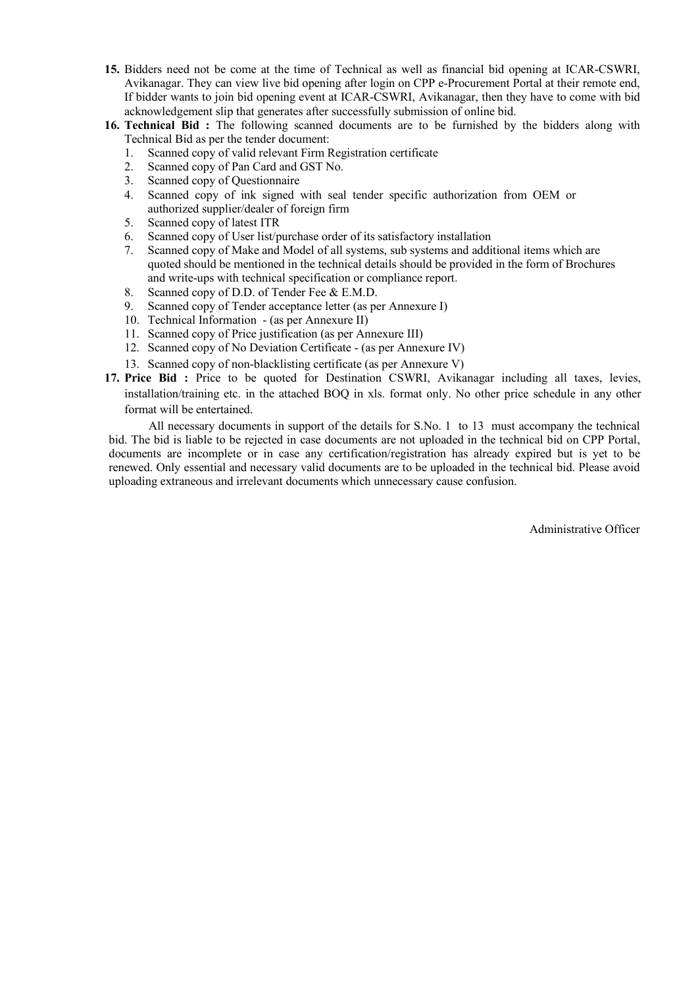- **15.** Bidders need not be come at the time of Technical as well as financial bid opening at ICAR-CSWRI, Avikanagar. They can view live bid opening after login on CPP e-Procurement Portal at their remote end, If bidder wants to join bid opening event at ICAR-CSWRI, Avikanagar, then they have to come with bid acknowledgement slip that generates after successfully submission of online bid.
- **16. Technical Bid :** The following scanned documents are to be furnished by the bidders along with Technical Bid as per the tender document:
	- 1. Scanned copy of valid relevant Firm Registration certificate<br>2. Scanned copy of Pan Card and GST No.
	- Scanned copy of Pan Card and GST No.
	- 3. Scanned copy of Questionnaire
	- 4. Scanned copy of ink signed with seal tender specific authorization from OEM or authorized supplier/dealer of foreign firm
	- 5. Scanned copy of latest ITR
	- 6. Scanned copy of User list/purchase order of its satisfactory installation 7. Scanned copy of Make and Model of all systems, sub systems and additional
	- Scanned copy of Make and Model of all systems, sub systems and additional items which are quoted should be mentioned in the technical details should be provided in the form of Brochures and write-ups with technical specification or compliance report.
	- 8. Scanned copy of D.D. of Tender Fee & E.M.D.
	- 9. Scanned copy of Tender acceptance letter (as per Annexure I)
	- 10. Technical Information (as per Annexure II)
	- 11. Scanned copy of Price justification (as per Annexure III)
	- 12. Scanned copy of No Deviation Certificate (as per Annexure IV)
	- 13. Scanned copy of non-blacklisting certificate (as per Annexure V)
- **17. Price Bid :** Price to be quoted for Destination CSWRI, Avikanagar including all taxes, levies, installation/training etc. in the attached BOQ in xls. format only. No other price schedule in any other format will be entertained.

All necessary documents in support of the details for S.No. 1 to 13 must accompany the technical bid. The bid is liable to be rejected in case documents are not uploaded in the technical bid on CPP Portal, documents are incomplete or in case any certification/registration has already expired but is yet to be renewed. Only essential and necessary valid documents are to be uploaded in the technical bid. Please avoid uploading extraneous and irrelevant documents which unnecessary cause confusion.

Administrative Officer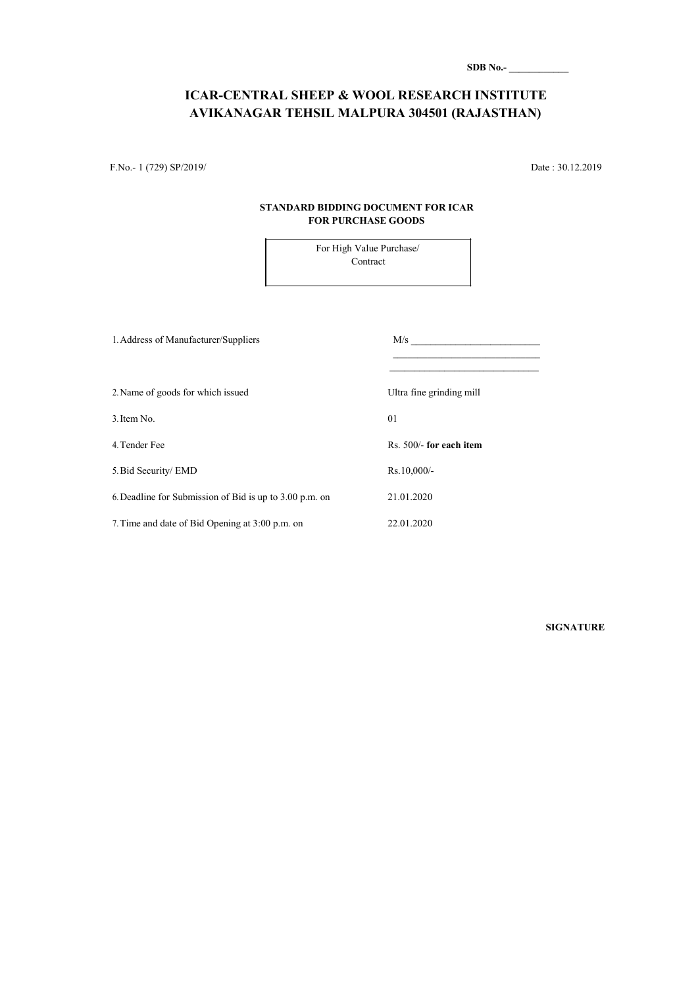| SDB No.- |  |  |  |  |
|----------|--|--|--|--|
|          |  |  |  |  |

### **ICAR-CENTRAL SHEEP & WOOL RESEARCH INSTITUTE AVIKANAGAR TEHSIL MALPURA 304501 (RAJASTHAN)**

F.No.- 1 (729) SP/2019/ Date : 30.12.2019

#### **STANDARD BIDDING DOCUMENT FOR ICAR FOR PURCHASE GOODS**

For High Value Purchase/ Contract

| 1. Address of Manufacturer/Suppliers                    | M/s                      |
|---------------------------------------------------------|--------------------------|
| 2. Name of goods for which issued                       | Ultra fine grinding mill |
| 3. Item No.                                             | 01                       |
| 4. Tender Fee                                           | Rs. 500/- for each item  |
| 5. Bid Security/ EMD                                    | $Rs.10,000/-$            |
| 6. Deadline for Submission of Bid is up to 3.00 p.m. on | 21.01.2020               |
| 7. Time and date of Bid Opening at 3:00 p.m. on         | 22.01.2020               |

**SIGNATURE**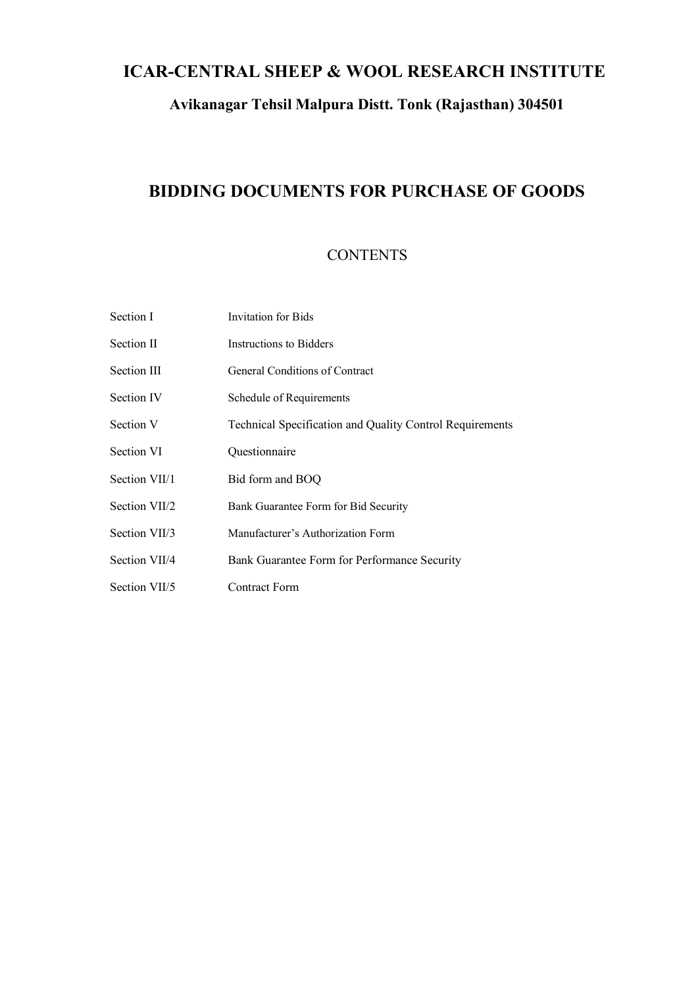### **ICAR-CENTRAL SHEEP & WOOL RESEARCH INSTITUTE**

### **Avikanagar Tehsil Malpura Distt. Tonk (Rajasthan) 304501**

### **BIDDING DOCUMENTS FOR PURCHASE OF GOODS**

### **CONTENTS**

| Section I         | Invitation for Bids                                      |
|-------------------|----------------------------------------------------------|
| Section II        | <b>Instructions to Bidders</b>                           |
| Section III       | General Conditions of Contract                           |
| Section IV        | Schedule of Requirements                                 |
| Section V         | Technical Specification and Quality Control Requirements |
| <b>Section VI</b> | Questionnaire                                            |
| Section VII/1     | Bid form and BOQ                                         |
| Section VII/2     | Bank Guarantee Form for Bid Security                     |
| Section VII/3     | Manufacturer's Authorization Form                        |
| Section VII/4     | Bank Guarantee Form for Performance Security             |
| Section VII/5     | Contract Form                                            |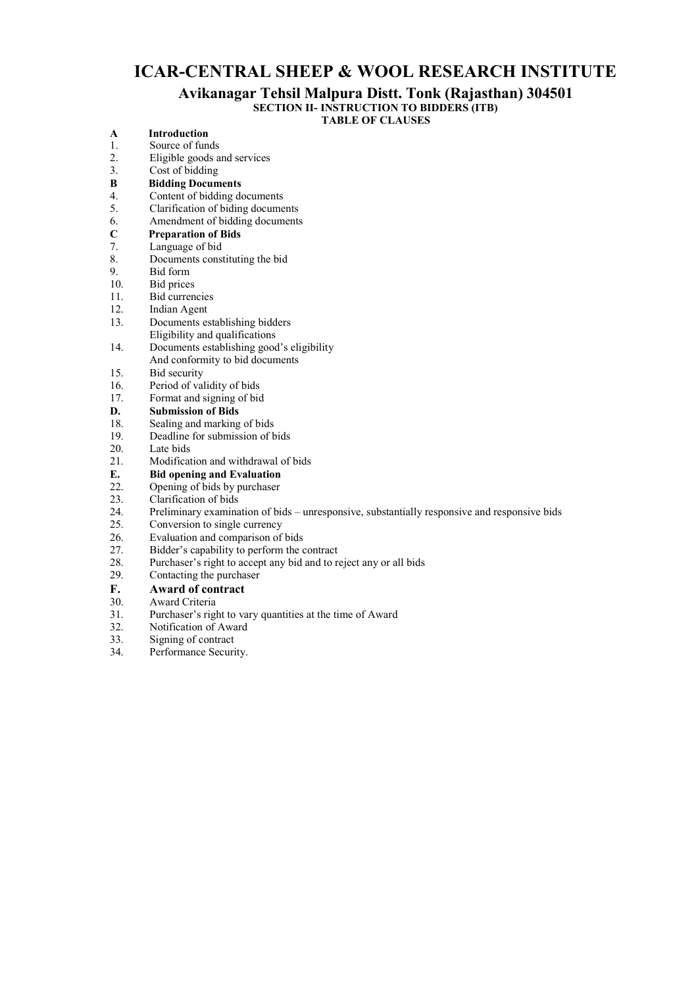### **ICAR-CENTRAL SHEEP & WOOL RESEARCH INSTITUTE**

### **Avikanagar Tehsil Malpura Distt. Tonk (Rajasthan) 304501**

**SECTION II- INSTRUCTION TO BIDDERS (ITB)**

**TABLE OF CLAUSES**

| $\mathbf{A}$ | <b>Introduction</b>                                                                          |
|--------------|----------------------------------------------------------------------------------------------|
| 1.           | Source of funds                                                                              |
| 2.           | Eligible goods and services                                                                  |
| 3.           | Cost of bidding                                                                              |
| B            | <b>Bidding Documents</b>                                                                     |
| 4.           | Content of bidding documents                                                                 |
| 5.           | Clarification of biding documents                                                            |
| 6.           | Amendment of bidding documents                                                               |
| $\mathbf C$  | <b>Preparation of Bids</b>                                                                   |
| 7.           | Language of bid                                                                              |
| 8.           | Documents constituting the bid                                                               |
| 9.           | Bid form                                                                                     |
| 10.          | Bid prices                                                                                   |
| 11.          | <b>Bid currencies</b>                                                                        |
| 12.          | Indian Agent                                                                                 |
| 13.          | Documents establishing bidders                                                               |
|              | Eligibility and qualifications                                                               |
| 14.          | Documents establishing good's eligibility                                                    |
|              | And conformity to bid documents                                                              |
| 15.          | Bid security                                                                                 |
| 16.          | Period of validity of bids                                                                   |
| 17.          | Format and signing of bid                                                                    |
| D.           | <b>Submission of Bids</b>                                                                    |
| 18.          | Sealing and marking of bids                                                                  |
| 19.          | Deadline for submission of bids                                                              |
| 20.          | Late bids                                                                                    |
| 21.          | Modification and withdrawal of bids                                                          |
| Е.           | <b>Bid opening and Evaluation</b>                                                            |
| 22.          | Opening of bids by purchaser                                                                 |
| 23.          | Clarification of bids                                                                        |
| 24.          | Preliminary examination of bids – unresponsive, substantially responsive and responsive bids |
| 25.          | Conversion to single currency                                                                |
| 26.          | Evaluation and comparison of bids                                                            |
| 27.          | Bidder's capability to perform the contract                                                  |
| 28.          | Purchaser's right to accept any bid and to reject any or all bids                            |
| 29.          | Contacting the purchaser                                                                     |
| T.           | $A = 1$                                                                                      |

- **F. Award of contract**  Award Criteria
- 31. Purchaser's right to vary quantities at the time of Award
- 32. Notification of Award<br>33. Signing of contract
- 33. Signing of contract<br>34 Performance Securi
- Performance Security.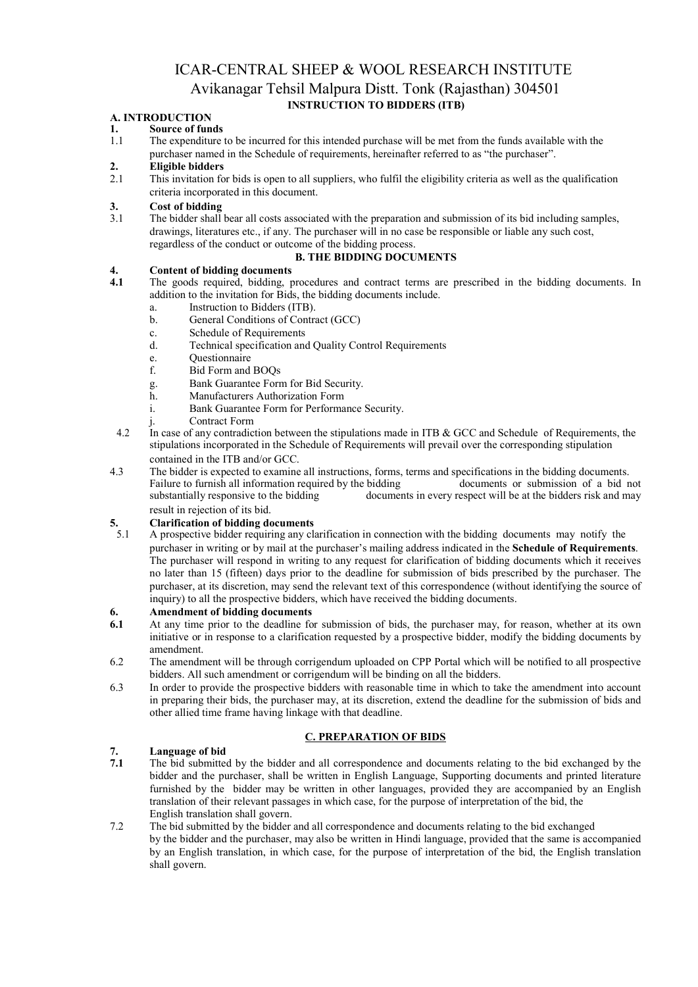### ICAR-CENTRAL SHEEP & WOOL RESEARCH INSTITUTE Avikanagar Tehsil Malpura Distt. Tonk (Rajasthan) 304501 **INSTRUCTION TO BIDDERS (ITB)**

## **A. INTRODUCTION**

# **1. Source of funds**

1.1 The expenditure to be incurred for this intended purchase will be met from the funds available with the purchaser named in the Schedule of requirements, hereinafter referred to as "the purchaser".

## **2. Eligible bidders**

This invitation for bids is open to all suppliers, who fulfil the eligibility criteria as well as the qualification criteria incorporated in this document.

# **3. Cost of bidding**

The bidder shall bear all costs associated with the preparation and submission of its bid including samples, drawings, literatures etc., if any. The purchaser will in no case be responsible or liable any such cost, regardless of the conduct or outcome of the bidding process.

#### **B. THE BIDDING DOCUMENTS**

# **4. Content of bidding documents**

- **4.1** The goods required, bidding, procedures and contract terms are prescribed in the bidding documents. In addition to the invitation for Bids, the bidding documents include.
	- a. Instruction to Bidders (ITB).<br>b. General Conditions of Contra
	- b. General Conditions of Contract (GCC)
	- c. Schedule of Requirements
	- d. Technical specification and Quality Control Requirements
	-
	- e. Questionnaire Bid Form and BOOs
	- g. Bank Guarantee Form for Bid Security.
	- h. Manufacturers Authorization Form
	- i. Bank Guarantee Form for Performance Security.
		- Contract Form
- 4.2 In case of any contradiction between the stipulations made in ITB & GCC and Schedule of Requirements, the stipulations incorporated in the Schedule of Requirements will prevail over the corresponding stipulation contained in the ITB and/or GCC.
- 4.3 The bidder is expected to examine all instructions, forms, terms and specifications in the bidding documents.<br>Failure to furnish all information required by the bidding documents or submission of a bid not Failure to furnish all information required by the bidding substantially responsive to the bidding documents in every respect will be at the bidders risk and may result in rejection of its bid.

# **5. Clarification of bidding documents**

5.1 A prospective bidder requiring any clarification in connection with the bidding documents may notify the purchaser in writing or by mail at the purchaser's mailing address indicated in the **Schedule of Requirements**. The purchaser will respond in writing to any request for clarification of bidding documents which it receives no later than 15 (fifteen) days prior to the deadline for submission of bids prescribed by the purchaser. The purchaser, at its discretion, may send the relevant text of this correspondence (without identifying the source of inquiry) to all the prospective bidders, which have received the bidding documents.

# **6. Amendment of bidding documents**

- **6.1** At any time prior to the deadline for submission of bids, the purchaser may, for reason, whether at its own initiative or in response to a clarification requested by a prospective bidder, modify the bidding documents by amendment.
- 6.2 The amendment will be through corrigendum uploaded on CPP Portal which will be notified to all prospective bidders. All such amendment or corrigendum will be binding on all the bidders.
- 6.3 In order to provide the prospective bidders with reasonable time in which to take the amendment into account in preparing their bids, the purchaser may, at its discretion, extend the deadline for the submission of bids and other allied time frame having linkage with that deadline.

#### **C. PREPARATION OF BIDS**

# **7. Language of bid**

- **7.1** The bid submitted by the bidder and all correspondence and documents relating to the bid exchanged by the bidder and the purchaser, shall be written in English Language, Supporting documents and printed literature furnished by the bidder may be written in other languages, provided they are accompanied by an English translation of their relevant passages in which case, for the purpose of interpretation of the bid, the English translation shall govern.
- 7.2 The bid submitted by the bidder and all correspondence and documents relating to the bid exchanged by the bidder and the purchaser, may also be written in Hindi language, provided that the same is accompanied by an English translation, in which case, for the purpose of interpretation of the bid, the English translation shall govern.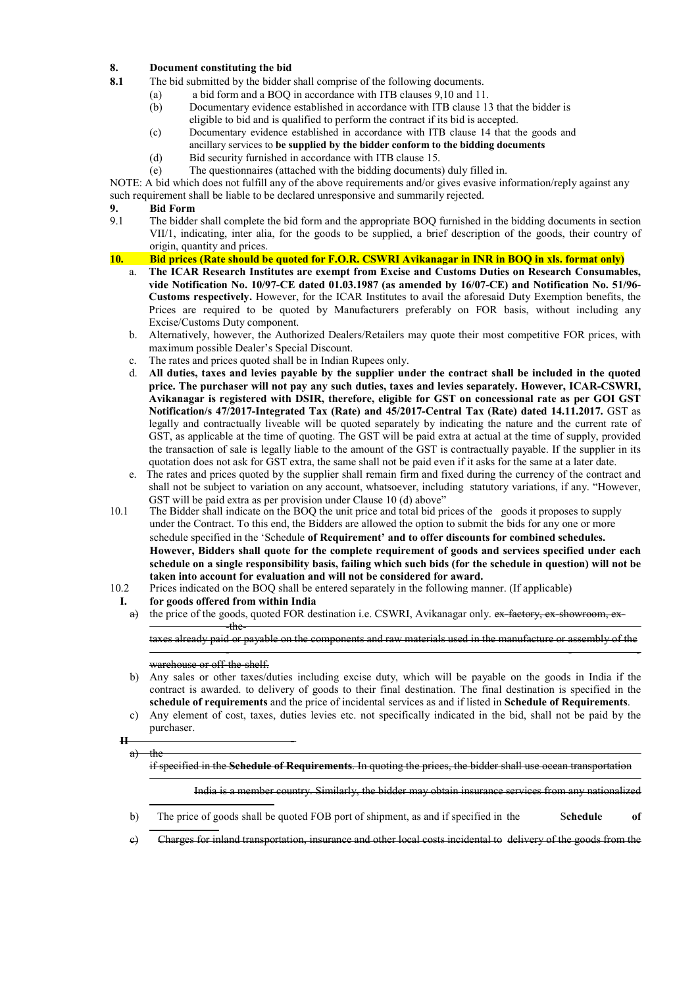#### **8. Document constituting the bid**

- **8.1** The bid submitted by the bidder shall comprise of the following documents.
	- (a) a bid form and a BOQ in accordance with ITB clauses 9,10 and 11.
		- (b) Documentary evidence established in accordance with ITB clause 13 that the bidder is eligible to bid and is qualified to perform the contract if its bid is accepted.
		- (c) Documentary evidence established in accordance with ITB clause 14 that the goods and
		- ancillary services to **be supplied by the bidder conform to the bidding documents**
		- (d) Bid security furnished in accordance with ITB clause 15.
		- (e) The questionnaires (attached with the bidding documents) duly filled in.

NOTE: A bid which does not fulfill any of the above requirements and/or gives evasive information/reply against any such requirement shall be liable to be declared unresponsive and summarily rejected.

#### **9. Bid Form**

9.1 The bidder shall complete the bid form and the appropriate BOQ furnished in the bidding documents in section VII/1, indicating, inter alia, for the goods to be supplied, a brief description of the goods, their country of origin, quantity and prices.

#### **10. Bid prices (Rate should be quoted for F.O.R. CSWRI Avikanagar in INR in BOQ in xls. format only)**

- a. **The ICAR Research Institutes are exempt from Excise and Customs Duties on Research Consumables, vide Notification No. 10/97-CE dated 01.03.1987 (as amended by 16/07-CE) and Notification No. 51/96- Customs respectively.** However, for the ICAR Institutes to avail the aforesaid Duty Exemption benefits, the Prices are required to be quoted by Manufacturers preferably on FOR basis, without including any Excise/Customs Duty component.
- b. Alternatively, however, the Authorized Dealers/Retailers may quote their most competitive FOR prices, with maximum possible Dealer's Special Discount.
- c. The rates and prices quoted shall be in Indian Rupees only.
- d. **All duties, taxes and levies payable by the supplier under the contract shall be included in the quoted price. The purchaser will not pay any such duties, taxes and levies separately. However, ICAR-CSWRI, Avikanagar is registered with DSIR, therefore, eligible for GST on concessional rate as per GOI GST Notification/s 47/2017-Integrated Tax (Rate) and 45/2017-Central Tax (Rate) dated 14.11.2017.** GST as legally and contractually liveable will be quoted separately by indicating the nature and the current rate of GST, as applicable at the time of quoting. The GST will be paid extra at actual at the time of supply, provided the transaction of sale is legally liable to the amount of the GST is contractually payable. If the supplier in its quotation does not ask for GST extra, the same shall not be paid even if it asks for the same at a later date.
- e. The rates and prices quoted by the supplier shall remain firm and fixed during the currency of the contract and shall not be subject to variation on any account, whatsoever, including statutory variations, if any. "However, GST will be paid extra as per provision under Clause 10 (d) above"
- 10.1 The Bidder shall indicate on the BOQ the unit price and total bid prices of the goods it proposes to supply under the Contract. To this end, the Bidders are allowed the option to submit the bids for any one or more schedule specified in the 'Schedule **of Requirement' and to offer discounts for combined schedules. However, Bidders shall quote for the complete requirement of goods and services specified under each schedule on a single responsibility basis, failing which such bids (for the schedule in question) will not be taken into account for evaluation and will not be considered for award.**
- 10.2 Prices indicated on the BOQ shall be entered separately in the following manner. (If applicable)
- **I. for goods offered from within India** 
	- a) the price of the goods, quoted FOR destination i.e. CSWRI, Avikanagar only. ex-factory, ex-showroom, ex--the-

taxes already paid or payable on the components and raw materials used in the manufacture or assembly of the

- - -

#### warehouse or off-the-shelf.

- b) Any sales or other taxes/duties including excise duty, which will be payable on the goods in India if the contract is awarded. to delivery of goods to their final destination. The final destination is specified in the **schedule of requirements** and the price of incidental services as and if listed in **Schedule of Requirements**.
- c) Any element of cost, taxes, duties levies etc. not specifically indicated in the bid, shall not be paid by the purchaser.

**II**   $a$ ) the

if specified in the **Schedule of Requirements**. In quoting the prices, the bidder shall use ocean transportation

India is a member country. Similarly, the bidder may obtain insurance services from any nationalized

- b) The price of goods shall be quoted FOB port of shipment, as and if specified in the S**chedule of**
- c) Charges for inland transportation, insurance and other local costs incidental to delivery of the goods from the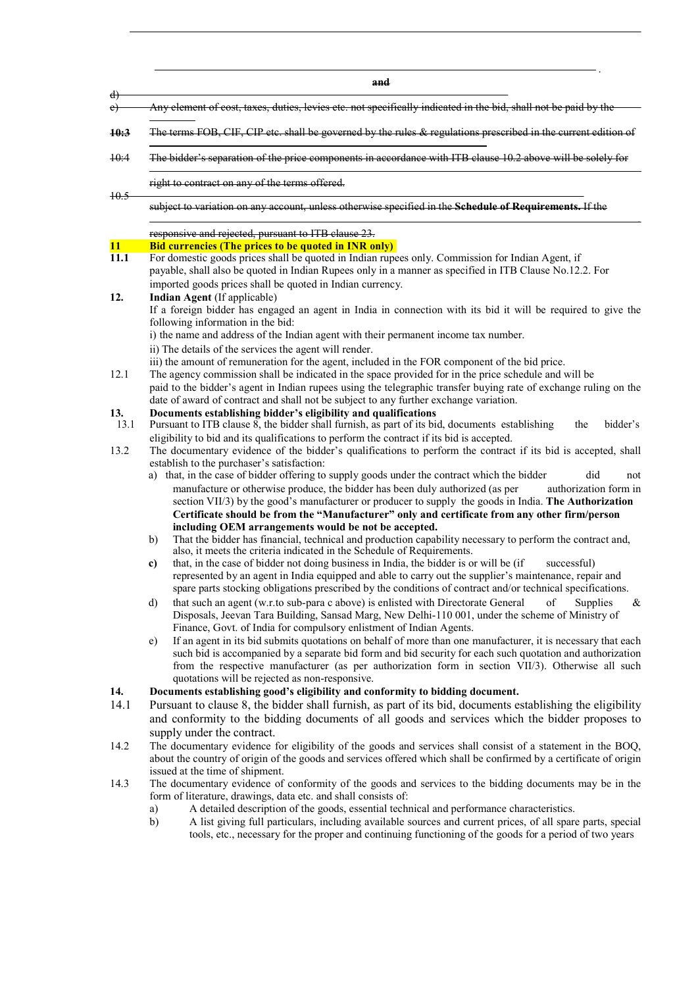|                    | and                                                                                                                                                                                                                                                                                                                                |
|--------------------|------------------------------------------------------------------------------------------------------------------------------------------------------------------------------------------------------------------------------------------------------------------------------------------------------------------------------------|
| $\downarrow$<br>e) | Any element of cost, taxes, duties, levies etc. not specifically indicated in the bid, shall not be paid by the                                                                                                                                                                                                                    |
| 10:3               | The terms FOB, CIF, CIP etc. shall be governed by the rules & regulations prescribed in the current edition of                                                                                                                                                                                                                     |
| <del>10:4</del>    | The bidder's separation of the price components in accordance with ITB clause 10.2 above will be solely for                                                                                                                                                                                                                        |
|                    | right to contract on any of the terms offered.                                                                                                                                                                                                                                                                                     |
| $+0.5$             | subject to variation on any account, unless otherwise specified in the Schedule of Requirements. If the                                                                                                                                                                                                                            |
|                    | responsive and rejected, pursuant to ITB clause 23.                                                                                                                                                                                                                                                                                |
| 11                 | <b>Bid currencies (The prices to be quoted in INR only)</b>                                                                                                                                                                                                                                                                        |
| 11.1               | For domestic goods prices shall be quoted in Indian rupees only. Commission for Indian Agent, if<br>payable, shall also be quoted in Indian Rupees only in a manner as specified in ITB Clause No.12.2. For                                                                                                                        |
|                    | imported goods prices shall be quoted in Indian currency.                                                                                                                                                                                                                                                                          |
| 12.                | Indian Agent (If applicable)                                                                                                                                                                                                                                                                                                       |
|                    | If a foreign bidder has engaged an agent in India in connection with its bid it will be required to give the<br>following information in the bid:                                                                                                                                                                                  |
|                    | i) the name and address of the Indian agent with their permanent income tax number.                                                                                                                                                                                                                                                |
|                    | ii) The details of the services the agent will render.                                                                                                                                                                                                                                                                             |
|                    | iii) the amount of remuneration for the agent, included in the FOR component of the bid price.                                                                                                                                                                                                                                     |
| 12.1               | The agency commission shall be indicated in the space provided for in the price schedule and will be                                                                                                                                                                                                                               |
|                    | paid to the bidder's agent in Indian rupees using the telegraphic transfer buying rate of exchange ruling on the<br>date of award of contract and shall not be subject to any further exchange variation.                                                                                                                          |
| 13.                | Documents establishing bidder's eligibility and qualifications                                                                                                                                                                                                                                                                     |
| 13.1               | Pursuant to ITB clause $\overline{8}$ , the bidder shall furnish, as part of its bid, documents establishing<br>bidder's<br>the                                                                                                                                                                                                    |
|                    | eligibility to bid and its qualifications to perform the contract if its bid is accepted.                                                                                                                                                                                                                                          |
| 13.2               | The documentary evidence of the bidder's qualifications to perform the contract if its bid is accepted, shall                                                                                                                                                                                                                      |
|                    | establish to the purchaser's satisfaction:<br>a) that, in the case of bidder offering to supply goods under the contract which the bidder<br>did<br>not                                                                                                                                                                            |
|                    |                                                                                                                                                                                                                                                                                                                                    |
|                    | manufacture or otherwise produce, the bidder has been duly authorized (as per<br>authorization form in                                                                                                                                                                                                                             |
|                    | section VII/3) by the good's manufacturer or producer to supply the goods in India. The Authorization                                                                                                                                                                                                                              |
|                    | Certificate should be from the "Manufacturer" only and certificate from any other firm/person                                                                                                                                                                                                                                      |
|                    | including OEM arrangements would be not be accepted.                                                                                                                                                                                                                                                                               |
|                    | That the bidder has financial, technical and production capability necessary to perform the contract and,<br>b)<br>also, it meets the criteria indicated in the Schedule of Requirements.                                                                                                                                          |
|                    | that, in the case of bidder not doing business in India, the bidder is or will be (if<br>successful)<br>c)<br>represented by an agent in India equipped and able to carry out the supplier's maintenance, repair and<br>spare parts stocking obligations prescribed by the conditions of contract and/or technical specifications. |
|                    | that such an agent (w.r.to sub-para c above) is enlisted with Directorate General<br>d)<br><b>Supplies</b><br>&<br>of                                                                                                                                                                                                              |
|                    | Disposals, Jeevan Tara Building, Sansad Marg, New Delhi-110 001, under the scheme of Ministry of<br>Finance, Govt. of India for compulsory enlistment of Indian Agents.                                                                                                                                                            |
|                    | If an agent in its bid submits quotations on behalf of more than one manufacturer, it is necessary that each<br>e)                                                                                                                                                                                                                 |
|                    | such bid is accompanied by a separate bid form and bid security for each such quotation and authorization                                                                                                                                                                                                                          |
|                    | from the respective manufacturer (as per authorization form in section VII/3). Otherwise all such<br>quotations will be rejected as non-responsive.                                                                                                                                                                                |
| 14.                | Documents establishing good's eligibility and conformity to bidding document.                                                                                                                                                                                                                                                      |
| 14.1               | Pursuant to clause 8, the bidder shall furnish, as part of its bid, documents establishing the eligibility                                                                                                                                                                                                                         |
|                    | and conformity to the bidding documents of all goods and services which the bidder proposes to                                                                                                                                                                                                                                     |
|                    | supply under the contract.                                                                                                                                                                                                                                                                                                         |
| 14.2               | The documentary evidence for eligibility of the goods and services shall consist of a statement in the BOQ,                                                                                                                                                                                                                        |
|                    | about the country of origin of the goods and services offered which shall be confirmed by a certificate of origin                                                                                                                                                                                                                  |
|                    | issued at the time of shipment.                                                                                                                                                                                                                                                                                                    |
| 14.3               | The documentary evidence of conformity of the goods and services to the bidding documents may be in the                                                                                                                                                                                                                            |
|                    | form of literature, drawings, data etc. and shall consists of:                                                                                                                                                                                                                                                                     |
|                    | A detailed description of the goods, essential technical and performance characteristics.<br>a)                                                                                                                                                                                                                                    |
|                    | A list giving full particulars, including available sources and current prices, of all spare parts, special<br>b)                                                                                                                                                                                                                  |
|                    | tools, etc., necessary for the proper and continuing functioning of the goods for a period of two years                                                                                                                                                                                                                            |
|                    |                                                                                                                                                                                                                                                                                                                                    |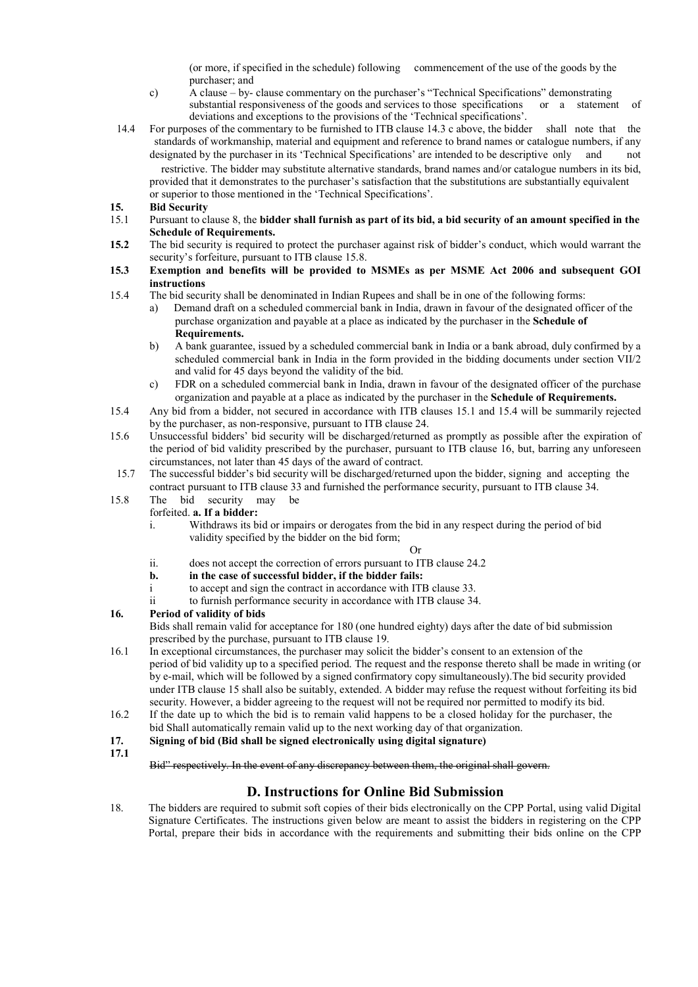(or more, if specified in the schedule) following commencement of the use of the goods by the purchaser; and

- c) A clause by- clause commentary on the purchaser's "Technical Specifications" demonstrating substantial responsiveness of the goods and services to those specifications or a statement of deviations and exceptions to the provisions of the 'Technical specifications'.
- 14.4 For purposes of the commentary to be furnished to ITB clause 14.3 c above, the bidder shall note that the standards of workmanship, material and equipment and reference to brand names or catalogue numbers, if any designated by the purchaser in its 'Technical Specifications' are intended to be descriptive only and not restrictive. The bidder may substitute alternative standards, brand names and/or catalogue numbers in its bid, provided that it demonstrates to the purchaser's satisfaction that the substitutions are substantially equivalent or superior to those mentioned in the 'Technical Specifications'.
- **15. Bid Security**
- 15.1 Pursuant to clause 8, the **bidder shall furnish as part of its bid, a bid security of an amount specified in the Schedule of Requirements.**
- **15.2** The bid security is required to protect the purchaser against risk of bidder's conduct, which would warrant the security's forfeiture, pursuant to ITB clause 15.8.
- **15.3 Exemption and benefits will be provided to MSMEs as per MSME Act 2006 and subsequent GOI instructions**
- 15.4 The bid security shall be denominated in Indian Rupees and shall be in one of the following forms:
	- a) Demand draft on a scheduled commercial bank in India, drawn in favour of the designated officer of the purchase organization and payable at a place as indicated by the purchaser in the **Schedule of Requirements.**
	- b) A bank guarantee, issued by a scheduled commercial bank in India or a bank abroad, duly confirmed by a scheduled commercial bank in India in the form provided in the bidding documents under section VII/2 and valid for 45 days beyond the validity of the bid.
	- c) FDR on a scheduled commercial bank in India, drawn in favour of the designated officer of the purchase organization and payable at a place as indicated by the purchaser in the **Schedule of Requirements.**
- 15.4 Any bid from a bidder, not secured in accordance with ITB clauses 15.1 and 15.4 will be summarily rejected by the purchaser, as non-responsive, pursuant to ITB clause 24.
- 15.6 Unsuccessful bidders' bid security will be discharged/returned as promptly as possible after the expiration of the period of bid validity prescribed by the purchaser, pursuant to ITB clause 16, but, barring any unforeseen circumstances, not later than 45 days of the award of contract.
- 15.7 The successful bidder's bid security will be discharged/returned upon the bidder, signing and accepting the contract pursuant to ITB clause 33 and furnished the performance security, pursuant to ITB clause 34.
- 15.8 The bid security may be
	- forfeited. **a. If a bidder:** 
		- i. Withdraws its bid or impairs or derogates from the bid in any respect during the period of bid validity specified by the bidder on the bid form;

#### Or

- ii. does not accept the correction of errors pursuant to ITB clause 24.2
- **b. in the case of successful bidder, if the bidder fails:**
- i to accept and sign the contract in accordance with ITB clause 33.
- ii to furnish performance security in accordance with ITB clause 34.

#### **16. Period of validity of bids**

Bids shall remain valid for acceptance for 180 (one hundred eighty) days after the date of bid submission prescribed by the purchase, pursuant to ITB clause 19.

- 16.1 In exceptional circumstances, the purchaser may solicit the bidder's consent to an extension of the period of bid validity up to a specified period. The request and the response thereto shall be made in writing (or by e-mail, which will be followed by a signed confirmatory copy simultaneously).The bid security provided under ITB clause 15 shall also be suitably, extended. A bidder may refuse the request without forfeiting its bid security. However, a bidder agreeing to the request will not be required nor permitted to modify its bid.
- 16.2 If the date up to which the bid is to remain valid happens to be a closed holiday for the purchaser, the bid Shall automatically remain valid up to the next working day of that organization.
- **17. Signing of bid (Bid shall be signed electronically using digital signature)**
- **17.1**

Bid" respectively. In the event of any discrepancy between them, the original shall govern.

### **D. Instructions for Online Bid Submission**

18. The bidders are required to submit soft copies of their bids electronically on the CPP Portal, using valid Digital Signature Certificates. The instructions given below are meant to assist the bidders in registering on the CPP Portal, prepare their bids in accordance with the requirements and submitting their bids online on the CPP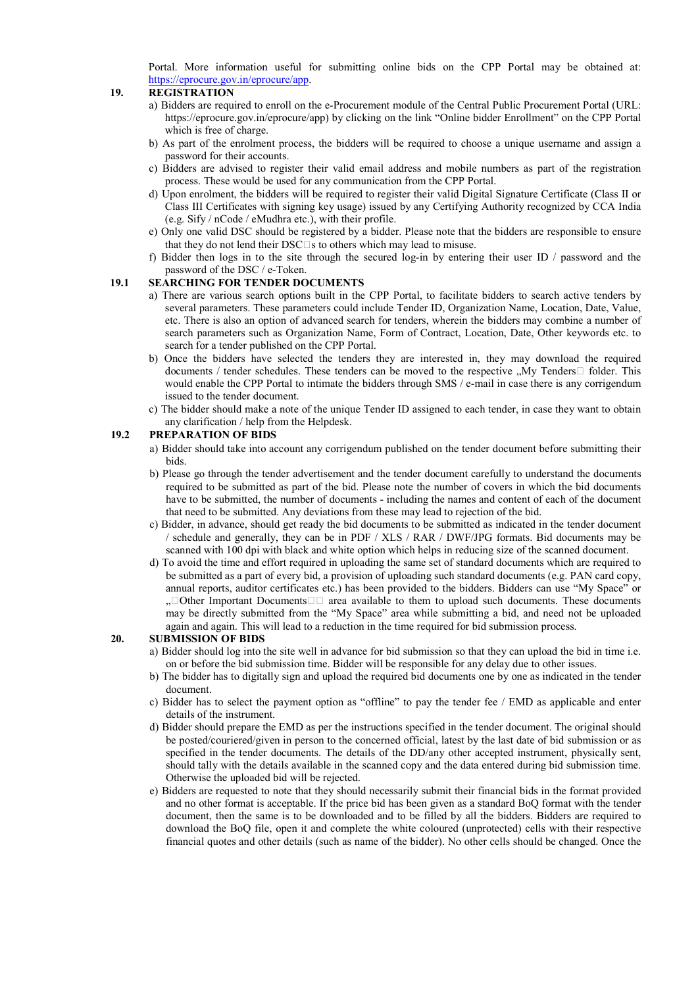Portal. More information useful for submitting online bids on the CPP Portal may be obtained at: https://eprocure.gov.in/eprocure/app.

#### **19. REGISTRATION**

- a) Bidders are required to enroll on the e-Procurement module of the Central Public Procurement Portal (URL: https://eprocure.gov.in/eprocure/app) by clicking on the link "Online bidder Enrollment" on the CPP Portal which is free of charge.
- b) As part of the enrolment process, the bidders will be required to choose a unique username and assign a password for their accounts.
- c) Bidders are advised to register their valid email address and mobile numbers as part of the registration process. These would be used for any communication from the CPP Portal.
- d) Upon enrolment, the bidders will be required to register their valid Digital Signature Certificate (Class II or Class III Certificates with signing key usage) issued by any Certifying Authority recognized by CCA India (e.g. Sify / nCode / eMudhra etc.), with their profile.
- e) Only one valid DSC should be registered by a bidder. Please note that the bidders are responsible to ensure that they do not lend their  $DSC\square s$  to others which may lead to misuse.
- f) Bidder then logs in to the site through the secured log-in by entering their user ID / password and the password of the DSC / e-Token.

#### **19.1 SEARCHING FOR TENDER DOCUMENTS**

- a) There are various search options built in the CPP Portal, to facilitate bidders to search active tenders by several parameters. These parameters could include Tender ID, Organization Name, Location, Date, Value, etc. There is also an option of advanced search for tenders, wherein the bidders may combine a number of search parameters such as Organization Name, Form of Contract, Location, Date, Other keywords etc. to search for a tender published on the CPP Portal.
- b) Once the bidders have selected the tenders they are interested in, they may download the required documents / tender schedules. These tenders can be moved to the respective  $M_y$  Tenders  $\Box$  folder. This would enable the CPP Portal to intimate the bidders through SMS / e-mail in case there is any corrigendum issued to the tender document.
- c) The bidder should make a note of the unique Tender ID assigned to each tender, in case they want to obtain any clarification / help from the Helpdesk.

#### **19.2 PREPARATION OF BIDS**

- a) Bidder should take into account any corrigendum published on the tender document before submitting their bids.
- b) Please go through the tender advertisement and the tender document carefully to understand the documents required to be submitted as part of the bid. Please note the number of covers in which the bid documents have to be submitted, the number of documents - including the names and content of each of the document that need to be submitted. Any deviations from these may lead to rejection of the bid.
- c) Bidder, in advance, should get ready the bid documents to be submitted as indicated in the tender document / schedule and generally, they can be in PDF / XLS / RAR / DWF/JPG formats. Bid documents may be scanned with 100 dpi with black and white option which helps in reducing size of the scanned document.
- d) To avoid the time and effort required in uploading the same set of standard documents which are required to be submitted as a part of every bid, a provision of uploading such standard documents (e.g. PAN card copy, annual reports, auditor certificates etc.) has been provided to the bidders. Bidders can use "My Space" or ,  $\Box$  Other Important Documents  $\Box$  area available to them to upload such documents. These documents may be directly submitted from the "My Space" area while submitting a bid, and need not be uploaded again and again. This will lead to a reduction in the time required for bid submission process.

#### **20. SUBMISSION OF BIDS**

- a) Bidder should log into the site well in advance for bid submission so that they can upload the bid in time i.e. on or before the bid submission time. Bidder will be responsible for any delay due to other issues.
- b) The bidder has to digitally sign and upload the required bid documents one by one as indicated in the tender document.
- c) Bidder has to select the payment option as "offline" to pay the tender fee / EMD as applicable and enter details of the instrument.
- d) Bidder should prepare the EMD as per the instructions specified in the tender document. The original should be posted/couriered/given in person to the concerned official, latest by the last date of bid submission or as specified in the tender documents. The details of the DD/any other accepted instrument, physically sent, should tally with the details available in the scanned copy and the data entered during bid submission time. Otherwise the uploaded bid will be rejected.
- e) Bidders are requested to note that they should necessarily submit their financial bids in the format provided and no other format is acceptable. If the price bid has been given as a standard BoQ format with the tender document, then the same is to be downloaded and to be filled by all the bidders. Bidders are required to download the BoQ file, open it and complete the white coloured (unprotected) cells with their respective financial quotes and other details (such as name of the bidder). No other cells should be changed. Once the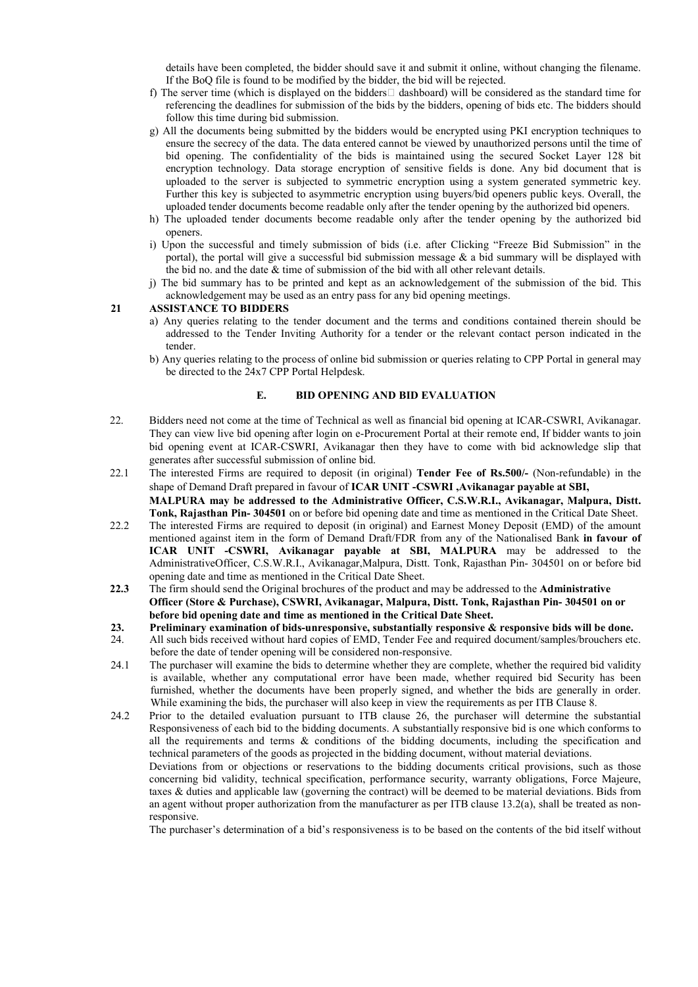details have been completed, the bidder should save it and submit it online, without changing the filename. If the BoQ file is found to be modified by the bidder, the bid will be rejected.

- f) The server time (which is displayed on the bidders  $\Box$  dashboard) will be considered as the standard time for referencing the deadlines for submission of the bids by the bidders, opening of bids etc. The bidders should follow this time during bid submission.
- g) All the documents being submitted by the bidders would be encrypted using PKI encryption techniques to ensure the secrecy of the data. The data entered cannot be viewed by unauthorized persons until the time of bid opening. The confidentiality of the bids is maintained using the secured Socket Layer 128 bit encryption technology. Data storage encryption of sensitive fields is done. Any bid document that is uploaded to the server is subjected to symmetric encryption using a system generated symmetric key. Further this key is subjected to asymmetric encryption using buyers/bid openers public keys. Overall, the uploaded tender documents become readable only after the tender opening by the authorized bid openers.
- h) The uploaded tender documents become readable only after the tender opening by the authorized bid openers.
- i) Upon the successful and timely submission of bids (i.e. after Clicking "Freeze Bid Submission" in the portal), the portal will give a successful bid submission message  $\&$  a bid summary will be displayed with the bid no. and the date & time of submission of the bid with all other relevant details.
- j) The bid summary has to be printed and kept as an acknowledgement of the submission of the bid. This acknowledgement may be used as an entry pass for any bid opening meetings.

#### **21 ASSISTANCE TO BIDDERS**

- a) Any queries relating to the tender document and the terms and conditions contained therein should be addressed to the Tender Inviting Authority for a tender or the relevant contact person indicated in the tender.
- b) Any queries relating to the process of online bid submission or queries relating to CPP Portal in general may be directed to the 24x7 CPP Portal Helpdesk.

#### **E. BID OPENING AND BID EVALUATION**

- 22. Bidders need not come at the time of Technical as well as financial bid opening at ICAR-CSWRI, Avikanagar. They can view live bid opening after login on e-Procurement Portal at their remote end, If bidder wants to join bid opening event at ICAR-CSWRI, Avikanagar then they have to come with bid acknowledge slip that generates after successful submission of online bid.
- 22.1 The interested Firms are required to deposit (in original) **Tender Fee of Rs.500/-** (Non-refundable) in the shape of Demand Draft prepared in favour of **ICAR UNIT -CSWRI ,Avikanagar payable at SBI, MALPURA may be addressed to the Administrative Officer, C.S.W.R.I., Avikanagar, Malpura, Distt. Tonk, Rajasthan Pin- 304501** on or before bid opening date and time as mentioned in the Critical Date Sheet.
- 22.2 The interested Firms are required to deposit (in original) and Earnest Money Deposit (EMD) of the amount mentioned against item in the form of Demand Draft/FDR from any of the Nationalised Bank **in favour of ICAR UNIT -CSWRI, Avikanagar payable at SBI, MALPURA** may be addressed to the AdministrativeOfficer, C.S.W.R.I., Avikanagar,Malpura, Distt. Tonk, Rajasthan Pin- 304501 on or before bid opening date and time as mentioned in the Critical Date Sheet.
- **22.3** The firm should send the Original brochures of the product and may be addressed to the **Administrative Officer (Store & Purchase), CSWRI, Avikanagar, Malpura, Distt. Tonk, Rajasthan Pin- 304501 on or before bid opening date and time as mentioned in the Critical Date Sheet.**
- **23. Preliminary examination of bids-unresponsive, substantially responsive & responsive bids will be done.**<br>24 All such bids received without hard copies of EMD. Tender Fee and required document/samples/brouchers etc.
- 24. All such bids received without hard copies of EMD, Tender Fee and required document/samples/brouchers etc. before the date of tender opening will be considered non-responsive.
- 24.1 The purchaser will examine the bids to determine whether they are complete, whether the required bid validity is available, whether any computational error have been made, whether required bid Security has been furnished, whether the documents have been properly signed, and whether the bids are generally in order. While examining the bids, the purchaser will also keep in view the requirements as per ITB Clause 8.
- 24.2 Prior to the detailed evaluation pursuant to ITB clause 26, the purchaser will determine the substantial Responsiveness of each bid to the bidding documents. A substantially responsive bid is one which conforms to all the requirements and terms  $\&$  conditions of the bidding documents, including the specification and technical parameters of the goods as projected in the bidding document, without material deviations.

Deviations from or objections or reservations to the bidding documents critical provisions, such as those concerning bid validity, technical specification, performance security, warranty obligations, Force Majeure, taxes & duties and applicable law (governing the contract) will be deemed to be material deviations. Bids from an agent without proper authorization from the manufacturer as per ITB clause 13.2(a), shall be treated as nonresponsive.

The purchaser's determination of a bid's responsiveness is to be based on the contents of the bid itself without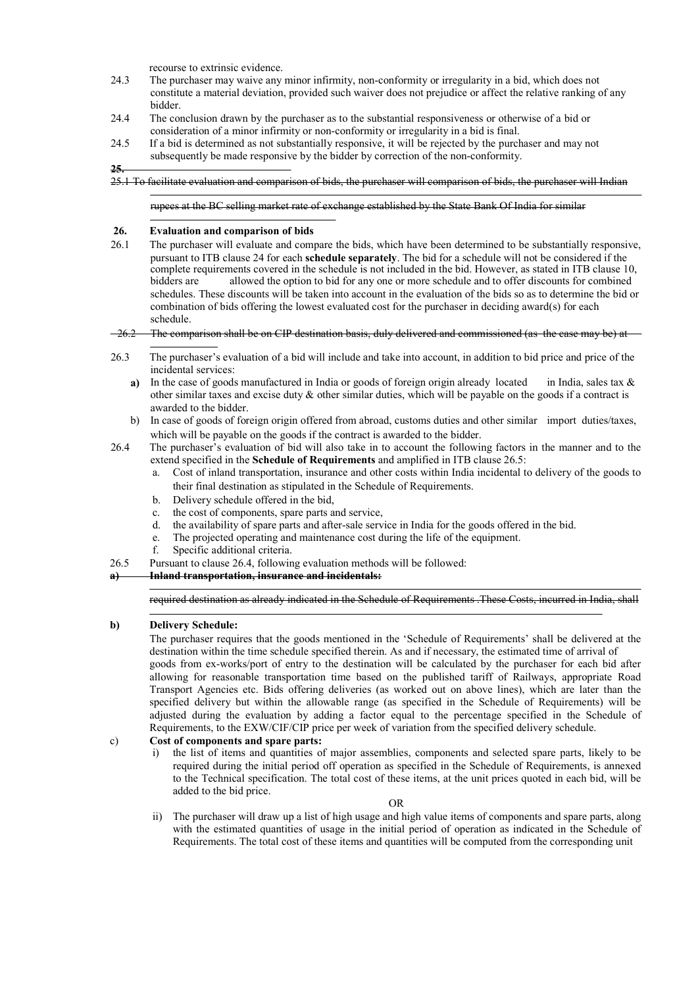recourse to extrinsic evidence.

- 24.3 The purchaser may waive any minor infirmity, non-conformity or irregularity in a bid, which does not constitute a material deviation, provided such waiver does not prejudice or affect the relative ranking of any bidder.
- 24.4 The conclusion drawn by the purchaser as to the substantial responsiveness or otherwise of a bid or consideration of a minor infirmity or non-conformity or irregularity in a bid is final.
- 24.5 If a bid is determined as not substantially responsive, it will be rejected by the purchaser and may not subsequently be made responsive by the bidder by correction of the non-conformity.
- **25.**
- 25.1 To facilitate evaluation and comparison of bids, the purchaser will comparison of bids, the purchaser will Indian

rupees at the BC selling market rate of exchange established by the State Bank Of India for similar

#### **26. Evaluation and comparison of bids**

26.1 The purchaser will evaluate and compare the bids, which have been determined to be substantially responsive, pursuant to ITB clause 24 for each **schedule separately**. The bid for a schedule will not be considered if the complete requirements covered in the schedule is not included in the bid. However, as stated in ITB clause 10, bidders are allowed the option to bid for any one or more schedule and to offer discounts for combined schedules. These discounts will be taken into account in the evaluation of the bids so as to determine the bid or combination of bids offering the lowest evaluated cost for the purchaser in deciding award(s) for each schedule.

#### $-26.2$  The comparison shall be on CIP destination basis, duly delivered and commissioned (as the case may be) at

- 26.3 The purchaser's evaluation of a bid will include and take into account, in addition to bid price and price of the incidental services:
	- **a)** In the case of goods manufactured in India or goods of foreign origin already located in India, sales tax & other similar taxes and excise duty  $\&$  other similar duties, which will be payable on the goods if a contract is awarded to the bidder.
	- b) In case of goods of foreign origin offered from abroad, customs duties and other similar import duties/taxes, which will be payable on the goods if the contract is awarded to the bidder.
- 26.4 The purchaser's evaluation of bid will also take in to account the following factors in the manner and to the extend specified in the **Schedule of Requirements** and amplified in ITB clause 26.5:
	- a. Cost of inland transportation, insurance and other costs within India incidental to delivery of the goods to their final destination as stipulated in the Schedule of Requirements.
	- b. Delivery schedule offered in the bid,
	- c. the cost of components, spare parts and service,
	- d. the availability of spare parts and after-sale service in India for the goods offered in the bid.
	- e. The projected operating and maintenance cost during the life of the equipment.
	- f. Specific additional criteria.
- 26.5 Pursuant to clause 26.4, following evaluation methods will be followed:

#### **a) Inland transportation, insurance and incidentals:**

#### required destination as already indicated in the Schedule of Requirements .These Costs, incurred in India, shall

#### **b) Delivery Schedule:**

The purchaser requires that the goods mentioned in the 'Schedule of Requirements' shall be delivered at the destination within the time schedule specified therein. As and if necessary, the estimated time of arrival of goods from ex-works/port of entry to the destination will be calculated by the purchaser for each bid after allowing for reasonable transportation time based on the published tariff of Railways, appropriate Road Transport Agencies etc. Bids offering deliveries (as worked out on above lines), which are later than the specified delivery but within the allowable range (as specified in the Schedule of Requirements) will be adjusted during the evaluation by adding a factor equal to the percentage specified in the Schedule of Requirements, to the EXW/CIF/CIP price per week of variation from the specified delivery schedule.

#### c) **Cost of components and spare parts:**

i) the list of items and quantities of major assemblies, components and selected spare parts, likely to be required during the initial period off operation as specified in the Schedule of Requirements, is annexed to the Technical specification. The total cost of these items, at the unit prices quoted in each bid, will be added to the bid price.

ii) The purchaser will draw up a list of high usage and high value items of components and spare parts, along with the estimated quantities of usage in the initial period of operation as indicated in the Schedule of Requirements. The total cost of these items and quantities will be computed from the corresponding unit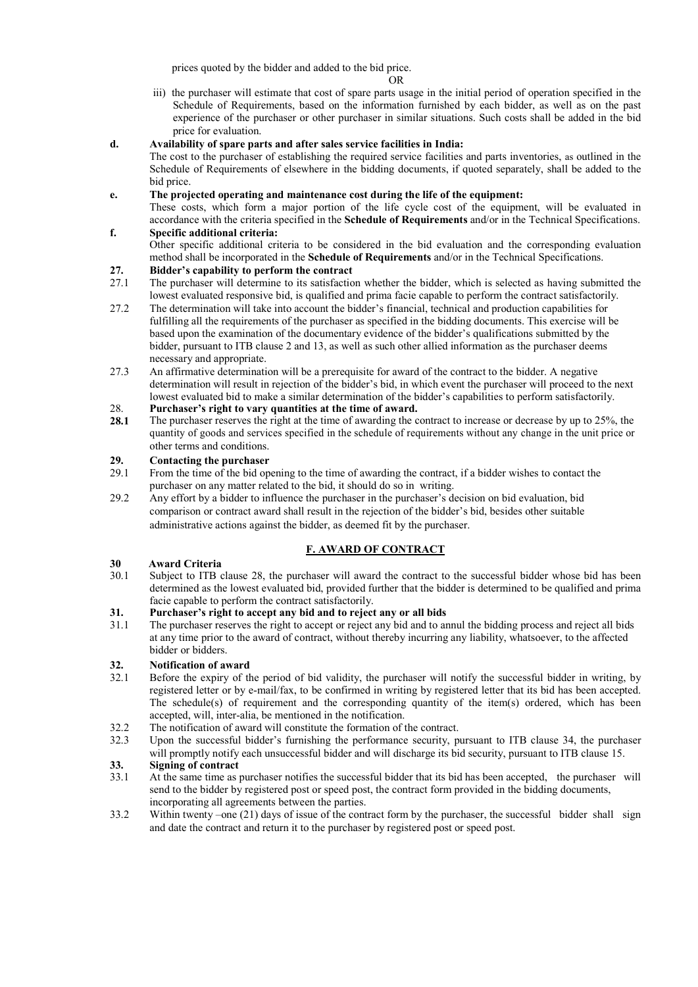prices quoted by the bidder and added to the bid price.

- OR
- iii) the purchaser will estimate that cost of spare parts usage in the initial period of operation specified in the Schedule of Requirements, based on the information furnished by each bidder, as well as on the past experience of the purchaser or other purchaser in similar situations. Such costs shall be added in the bid price for evaluation.

#### **d. Availability of spare parts and after sales service facilities in India:**

The cost to the purchaser of establishing the required service facilities and parts inventories, as outlined in the Schedule of Requirements of elsewhere in the bidding documents, if quoted separately, shall be added to the bid price.

#### **e. The projected operating and maintenance cost during the life of the equipment:**

These costs, which form a major portion of the life cycle cost of the equipment, will be evaluated in accordance with the criteria specified in the **Schedule of Requirements** and/or in the Technical Specifications.

#### **f. Specific additional criteria:**

Other specific additional criteria to be considered in the bid evaluation and the corresponding evaluation method shall be incorporated in the **Schedule of Requirements** and/or in the Technical Specifications.

# **27. Bidder's capability to perform the contract**

- 27.1 The purchaser will determine to its satisfaction whether the bidder, which is selected as having submitted the lowest evaluated responsive bid, is qualified and prima facie capable to perform the contract satisfactorily.
- 27.2 The determination will take into account the bidder's financial, technical and production capabilities for fulfilling all the requirements of the purchaser as specified in the bidding documents. This exercise will be based upon the examination of the documentary evidence of the bidder's qualifications submitted by the bidder, pursuant to ITB clause 2 and 13, as well as such other allied information as the purchaser deems necessary and appropriate.
- 27.3 An affirmative determination will be a prerequisite for award of the contract to the bidder. A negative determination will result in rejection of the bidder's bid, in which event the purchaser will proceed to the next lowest evaluated bid to make a similar determination of the bidder's capabilities to perform satisfactorily.

#### 28. **Purchaser's right to vary quantities at the time of award.**

**28.1** The purchaser reserves the right at the time of awarding the contract to increase or decrease by up to 25%, the quantity of goods and services specified in the schedule of requirements without any change in the unit price or other terms and conditions.

# **29. Contacting the purchaser**<br>29.1 From the time of the bid on

- 29.1 From the time of the bid opening to the time of awarding the contract, if a bidder wishes to contact the purchaser on any matter related to the bid, it should do so in writing.
- 29.2 Any effort by a bidder to influence the purchaser in the purchaser's decision on bid evaluation, bid comparison or contract award shall result in the rejection of the bidder's bid, besides other suitable administrative actions against the bidder, as deemed fit by the purchaser.

#### **F. AWARD OF CONTRACT**

# **30 Award Criteria**

Subject to ITB clause 28, the purchaser will award the contract to the successful bidder whose bid has been determined as the lowest evaluated bid, provided further that the bidder is determined to be qualified and prima facie capable to perform the contract satisfactorily.

# **31. Purchaser's right to accept any bid and to reject any or all bids**

The purchaser reserves the right to accept or reject any bid and to annul the bidding process and reject all bids at any time prior to the award of contract, without thereby incurring any liability, whatsoever, to the affected bidder or bidders.

# **32. Notification of award**

- 32.1 Before the expiry of the period of bid validity, the purchaser will notify the successful bidder in writing, by registered letter or by e-mail/fax, to be confirmed in writing by registered letter that its bid has been accepted. The schedule(s) of requirement and the corresponding quantity of the item(s) ordered, which has been accepted, will, inter-alia, be mentioned in the notification.
- 32.2 The notification of award will constitute the formation of the contract.
- 32.3 Upon the successful bidder's furnishing the performance security, pursuant to ITB clause 34, the purchaser will promptly notify each unsuccessful bidder and will discharge its bid security, pursuant to ITB clause 15.

# **33. Signing of contract**<br>33.1 At the same time as **1**

- 33.1 At the same time as purchaser notifies the successful bidder that its bid has been accepted, the purchaser will send to the bidder by registered post or speed post, the contract form provided in the bidding documents, incorporating all agreements between the parties.
- 33.2 Within twenty –one (21) days of issue of the contract form by the purchaser, the successful bidder shall sign and date the contract and return it to the purchaser by registered post or speed post.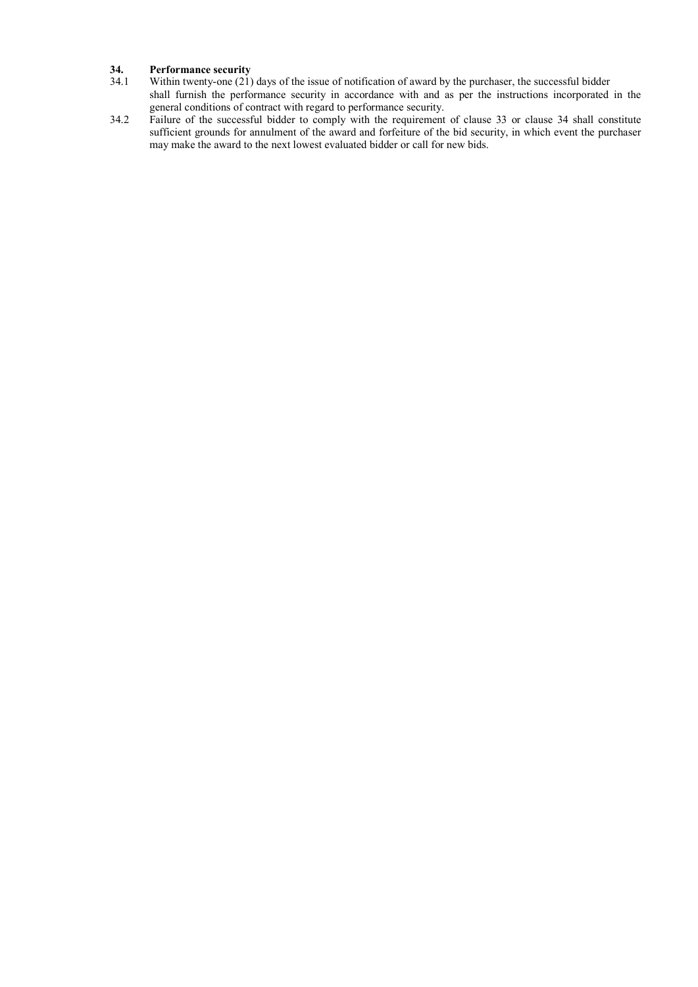# **34. Performance security**<br>34.1 Within twenty-one (21)

- Within twenty-one (21) days of the issue of notification of award by the purchaser, the successful bidder shall furnish the performance security in accordance with and as per the instructions incorporated in the general conditions of contract with regard to performance security.
- 34.2 Failure of the successful bidder to comply with the requirement of clause 33 or clause 34 shall constitute sufficient grounds for annulment of the award and forfeiture of the bid security, in which event the purchaser may make the award to the next lowest evaluated bidder or call for new bids.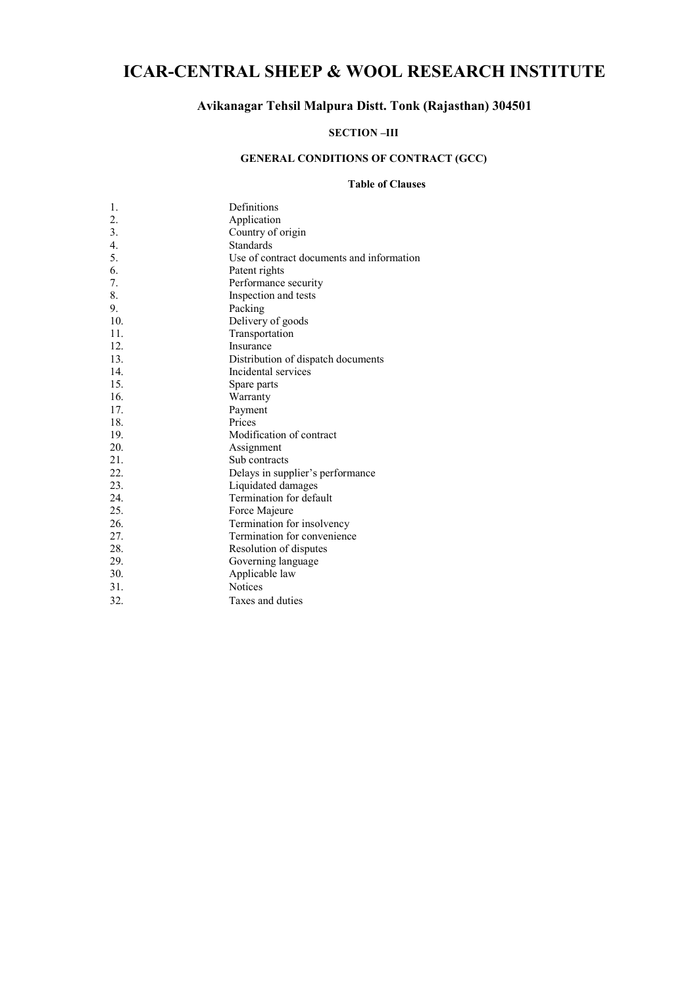### **ICAR-CENTRAL SHEEP & WOOL RESEARCH INSTITUTE**

### **Avikanagar Tehsil Malpura Distt. Tonk (Rajasthan) 304501**

#### **SECTION –III**

### **GENERAL CONDITIONS OF CONTRACT (GCC)**

#### **Table of Clauses**

| 1.               | Definitions                               |
|------------------|-------------------------------------------|
| $\overline{2}$ . | Application                               |
| 3.               | Country of origin                         |
| $\overline{4}$ . | <b>Standards</b>                          |
| 5.               | Use of contract documents and information |
| 6.               | Patent rights                             |
| 7.               | Performance security                      |
| 8.               | Inspection and tests                      |
| 9.               | Packing                                   |
| 10.              | Delivery of goods                         |
| 11.              | Transportation                            |
| 12.              | Insurance                                 |
| 13.              | Distribution of dispatch documents        |
| 14               | Incidental services                       |
| 15.              | Spare parts                               |
| 16.              | Warranty                                  |
| 17.              | Payment                                   |
| 18.              | Prices                                    |
| 19.              | Modification of contract                  |
| 20.              | Assignment                                |
| 21.              | Sub contracts                             |
| 22.              | Delays in supplier's performance          |
| 23.              | Liquidated damages                        |
| 24.              | Termination for default                   |
| 25.              | Force Majeure                             |
| 26.              | Termination for insolvency                |
| 27.              | Termination for convenience               |
| 28.              | Resolution of disputes                    |
| 29.              | Governing language                        |
| 30.              | Applicable law                            |
| 31.              | <b>Notices</b>                            |
| 32.              | Taxes and duties                          |
|                  |                                           |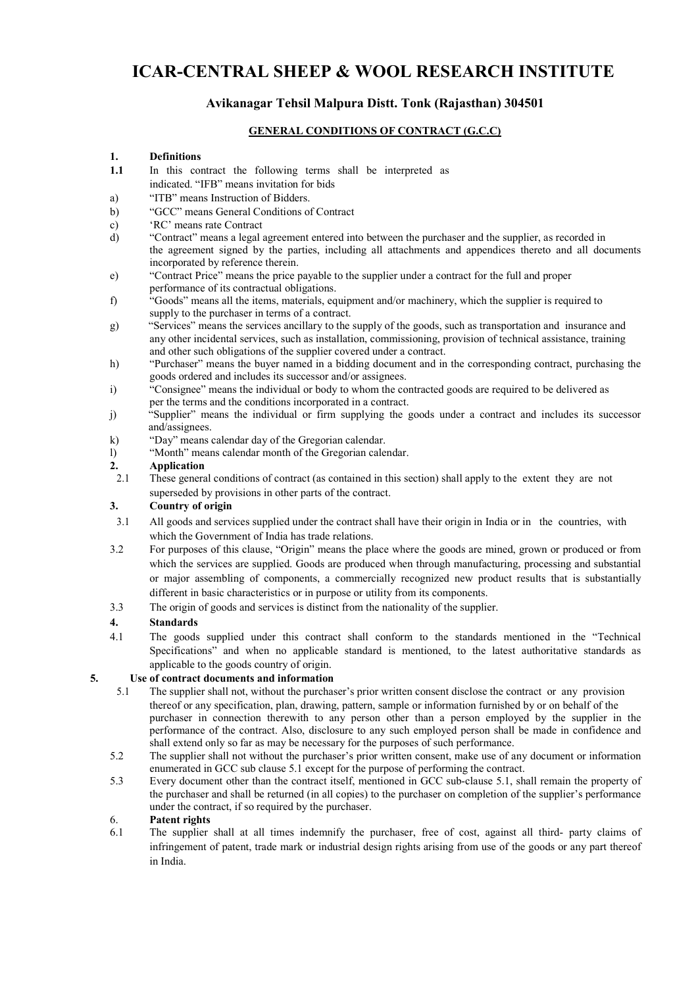### **ICAR-CENTRAL SHEEP & WOOL RESEARCH INSTITUTE**

### **Avikanagar Tehsil Malpura Distt. Tonk (Rajasthan) 304501**

#### **GENERAL CONDITIONS OF CONTRACT (G.C.C)**

#### **1. Definitions**

- **1.1** In this contract the following terms shall be interpreted as indicated. "IFB" means invitation for bids
- a) "ITB" means Instruction of Bidders.
- b) "GCC" means General Conditions of Contract
- c) 'RC' means rate Contract
- d) "Contract" means a legal agreement entered into between the purchaser and the supplier, as recorded in the agreement signed by the parties, including all attachments and appendices thereto and all documents incorporated by reference therein.
- e) "Contract Price" means the price payable to the supplier under a contract for the full and proper performance of its contractual obligations.
- f) "Goods" means all the items, materials, equipment and/or machinery, which the supplier is required to supply to the purchaser in terms of a contract.
- g) "Services" means the services ancillary to the supply of the goods, such as transportation and insurance and any other incidental services, such as installation, commissioning, provision of technical assistance, training and other such obligations of the supplier covered under a contract.
- h) "Purchaser" means the buyer named in a bidding document and in the corresponding contract, purchasing the goods ordered and includes its successor and/or assignees.
- i) "Consignee" means the individual or body to whom the contracted goods are required to be delivered as per the terms and the conditions incorporated in a contract.
- j) "Supplier" means the individual or firm supplying the goods under a contract and includes its successor and/assignees.
- k) "Day" means calendar day of the Gregorian calendar.
- l) "Month" means calendar month of the Gregorian calendar.

#### **2. Application**

2.1 These general conditions of contract (as contained in this section) shall apply to the extent they are not superseded by provisions in other parts of the contract.

#### **3. Country of origin**

- 3.1 All goods and services supplied under the contract shall have their origin in India or in the countries, with which the Government of India has trade relations.
- 3.2 For purposes of this clause, "Origin" means the place where the goods are mined, grown or produced or from which the services are supplied. Goods are produced when through manufacturing, processing and substantial or major assembling of components, a commercially recognized new product results that is substantially different in basic characteristics or in purpose or utility from its components.
- 3.3 The origin of goods and services is distinct from the nationality of the supplier.

#### **4. Standards**

4.1 The goods supplied under this contract shall conform to the standards mentioned in the "Technical Specifications" and when no applicable standard is mentioned, to the latest authoritative standards as applicable to the goods country of origin.

#### **5. Use of contract documents and information**

- 5.1 The supplier shall not, without the purchaser's prior written consent disclose the contract or any provision thereof or any specification, plan, drawing, pattern, sample or information furnished by or on behalf of the purchaser in connection therewith to any person other than a person employed by the supplier in the performance of the contract. Also, disclosure to any such employed person shall be made in confidence and shall extend only so far as may be necessary for the purposes of such performance.
- 5.2 The supplier shall not without the purchaser's prior written consent, make use of any document or information enumerated in GCC sub clause 5.1 except for the purpose of performing the contract.
- 5.3 Every document other than the contract itself, mentioned in GCC sub-clause 5.1, shall remain the property of the purchaser and shall be returned (in all copies) to the purchaser on completion of the supplier's performance under the contract, if so required by the purchaser.

#### 6. **Patent rights**

6.1 The supplier shall at all times indemnify the purchaser, free of cost, against all third- party claims of infringement of patent, trade mark or industrial design rights arising from use of the goods or any part thereof in India.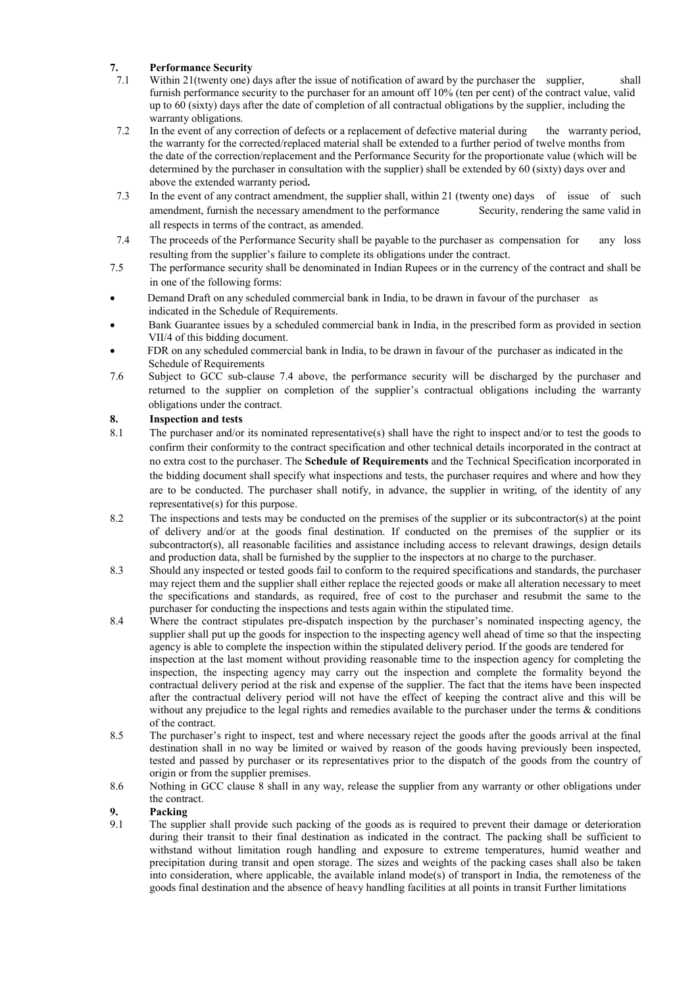# **7. Performance Security**

- Within 21(twenty one) days after the issue of notification of award by the purchaser the supplier, shall furnish performance security to the purchaser for an amount off 10% (ten per cent) of the contract value, valid up to 60 (sixty) days after the date of completion of all contractual obligations by the supplier, including the warranty obligations.
- 7.2 In the event of any correction of defects or a replacement of defective material during the warranty period, the warranty for the corrected/replaced material shall be extended to a further period of twelve months from the date of the correction/replacement and the Performance Security for the proportionate value (which will be determined by the purchaser in consultation with the supplier) shall be extended by 60 (sixty) days over and above the extended warranty period**.**
- 7.3 In the event of any contract amendment, the supplier shall, within 21 (twenty one) days of issue of such amendment, furnish the necessary amendment to the performance Security, rendering the same valid in all respects in terms of the contract, as amended.
- 7.4 The proceeds of the Performance Security shall be payable to the purchaser as compensation for any loss resulting from the supplier's failure to complete its obligations under the contract.
- 7.5 The performance security shall be denominated in Indian Rupees or in the currency of the contract and shall be in one of the following forms:
- Demand Draft on any scheduled commercial bank in India, to be drawn in favour of the purchaser as indicated in the Schedule of Requirements.
- Bank Guarantee issues by a scheduled commercial bank in India, in the prescribed form as provided in section VII/4 of this bidding document.
- FDR on any scheduled commercial bank in India, to be drawn in favour of the purchaser as indicated in the Schedule of Requirements
- 7.6 Subject to GCC sub-clause 7.4 above, the performance security will be discharged by the purchaser and returned to the supplier on completion of the supplier's contractual obligations including the warranty obligations under the contract.

#### **8. Inspection and tests**

- 8.1 The purchaser and/or its nominated representative(s) shall have the right to inspect and/or to test the goods to confirm their conformity to the contract specification and other technical details incorporated in the contract at no extra cost to the purchaser. The **Schedule of Requirements** and the Technical Specification incorporated in the bidding document shall specify what inspections and tests, the purchaser requires and where and how they are to be conducted. The purchaser shall notify, in advance, the supplier in writing, of the identity of any representative(s) for this purpose.
- 8.2 The inspections and tests may be conducted on the premises of the supplier or its subcontractor(s) at the point of delivery and/or at the goods final destination. If conducted on the premises of the supplier or its subcontractor(s), all reasonable facilities and assistance including access to relevant drawings, design details and production data, shall be furnished by the supplier to the inspectors at no charge to the purchaser.
- 8.3 Should any inspected or tested goods fail to conform to the required specifications and standards, the purchaser may reject them and the supplier shall either replace the rejected goods or make all alteration necessary to meet the specifications and standards, as required, free of cost to the purchaser and resubmit the same to the purchaser for conducting the inspections and tests again within the stipulated time.
- 8.4 Where the contract stipulates pre-dispatch inspection by the purchaser's nominated inspecting agency, the supplier shall put up the goods for inspection to the inspecting agency well ahead of time so that the inspecting agency is able to complete the inspection within the stipulated delivery period. If the goods are tendered for inspection at the last moment without providing reasonable time to the inspection agency for completing the inspection, the inspecting agency may carry out the inspection and complete the formality beyond the contractual delivery period at the risk and expense of the supplier. The fact that the items have been inspected after the contractual delivery period will not have the effect of keeping the contract alive and this will be without any prejudice to the legal rights and remedies available to the purchaser under the terms & conditions of the contract.
- 8.5 The purchaser's right to inspect, test and where necessary reject the goods after the goods arrival at the final destination shall in no way be limited or waived by reason of the goods having previously been inspected, tested and passed by purchaser or its representatives prior to the dispatch of the goods from the country of origin or from the supplier premises.
- 8.6 Nothing in GCC clause 8 shall in any way, release the supplier from any warranty or other obligations under the contract.

# **9. Packing**

The supplier shall provide such packing of the goods as is required to prevent their damage or deterioration during their transit to their final destination as indicated in the contract. The packing shall be sufficient to withstand without limitation rough handling and exposure to extreme temperatures, humid weather and precipitation during transit and open storage. The sizes and weights of the packing cases shall also be taken into consideration, where applicable, the available inland mode(s) of transport in India, the remoteness of the goods final destination and the absence of heavy handling facilities at all points in transit Further limitations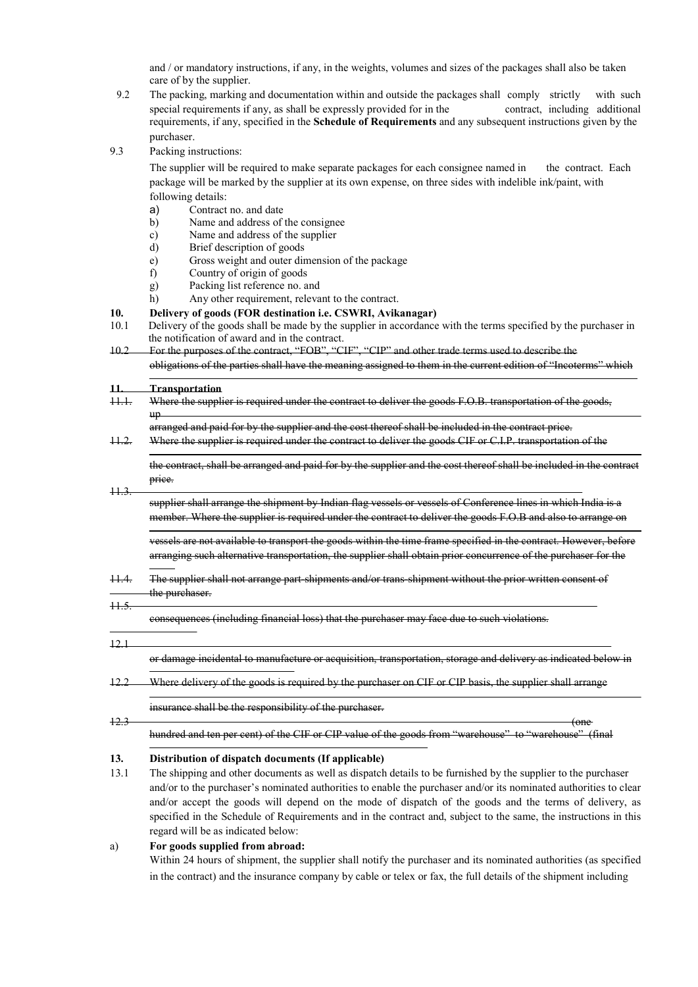and / or mandatory instructions, if any, in the weights, volumes and sizes of the packages shall also be taken care of by the supplier.

- 9.2 The packing, marking and documentation within and outside the packages shall comply strictly with such special requirements if any, as shall be expressly provided for in the contract, including additional requirements, if any, specified in the **Schedule of Requirements** and any subsequent instructions given by the purchaser.
- 9.3 Packing instructions:

The supplier will be required to make separate packages for each consignee named in the contract. Each package will be marked by the supplier at its own expense, on three sides with indelible ink/paint, with following details:

- 
- a) Contract no. and date<br>b) Name and address of b) Name and address of the consignee
- c) Name and address of the supplier
- d) Brief description of goods
- e) Gross weight and outer dimension of the package
- f) Country of origin of goods
- g) Packing list reference no. and
- h) Any other requirement, relevant to the contract.
- **10. Delivery of goods (FOR destination i.e. CSWRI, Avikanagar)**
- 10.1 Delivery of the goods shall be made by the supplier in accordance with the terms specified by the purchaser in the notification of award and in the contract.
- 10.2 For the purposes of the contract, "FOB", "CIF", "CIP" and other trade terms used to describe the obligations of the parties shall have the meaning assigned to them in the current edition of "Incoterms" which

| $\textcolor{red}{\textbf{H}}\textcolor{blue}{\textbf{H}}\textcolor{blue}{\textbf{H}}$ | Transportation<br>Where the supplier is required under the contract to deliver the goods F.O.B. transportation of the goods,<br>uρ                                                                                                   |
|---------------------------------------------------------------------------------------|--------------------------------------------------------------------------------------------------------------------------------------------------------------------------------------------------------------------------------------|
| $+2$                                                                                  | arranged and paid for by the supplier and the cost thereof shall be included in the contract price.<br>Where the supplier is required under the contract to deliver the goods CIF or C.I.P. transportation of the                    |
|                                                                                       | the contract, shall be arranged and paid for by the supplier and the cost thereof shall be included in the contract<br>price.                                                                                                        |
| H.3                                                                                   | supplier shall arrange the shipment by Indian flag vessels or vessels of Conference lines in which India is a<br>member. Where the supplier is required under the contract to deliver the goods F.O.B and also to arrange on         |
|                                                                                       | vessels are not available to transport the goods within the time frame specified in the contract. However, before<br>arranging such alternative transportation, the supplier shall obtain prior concurrence of the purchaser for the |
| $+1.4.$                                                                               | The supplier shall not arrange part-shipments and/or trans-shipment without the prior written consent of<br>the purchaser.                                                                                                           |
| $+1.5$                                                                                | consequences (including financial loss) that the purchaser may face                                                                                                                                                                  |
| 121                                                                                   |                                                                                                                                                                                                                                      |
|                                                                                       | or damage incidental to manufacture or acquisition, transportation, storage and delivery as indicated                                                                                                                                |
| 12.2                                                                                  | Where delivery of the goods is required by the purchaser on CIF or CIP basis, the supplier shall arrange                                                                                                                             |
| $+2.3$                                                                                | insurance shall be the responsibility of the purchaser.<br><del>(one</del>                                                                                                                                                           |
|                                                                                       | of the goods<br>CIP value<br>(final<br>from "warehouse"<br>to "warehouse"<br>hundred and ten per cent)                                                                                                                               |
|                                                                                       | $\mathbf{r}$ $\mathbf{r}$ $\mathbf{r}$ $\mathbf{r}$ $\mathbf{r}$ $\mathbf{r}$<br>$\sqrt{10}$                                                                                                                                         |

#### **13. Distribution of dispatch documents (If applicable)**

13.1 The shipping and other documents as well as dispatch details to be furnished by the supplier to the purchaser and/or to the purchaser's nominated authorities to enable the purchaser and/or its nominated authorities to clear and/or accept the goods will depend on the mode of dispatch of the goods and the terms of delivery, as specified in the Schedule of Requirements and in the contract and, subject to the same, the instructions in this regard will be as indicated below:

#### a) **For goods supplied from abroad:**

Within 24 hours of shipment, the supplier shall notify the purchaser and its nominated authorities (as specified in the contract) and the insurance company by cable or telex or fax, the full details of the shipment including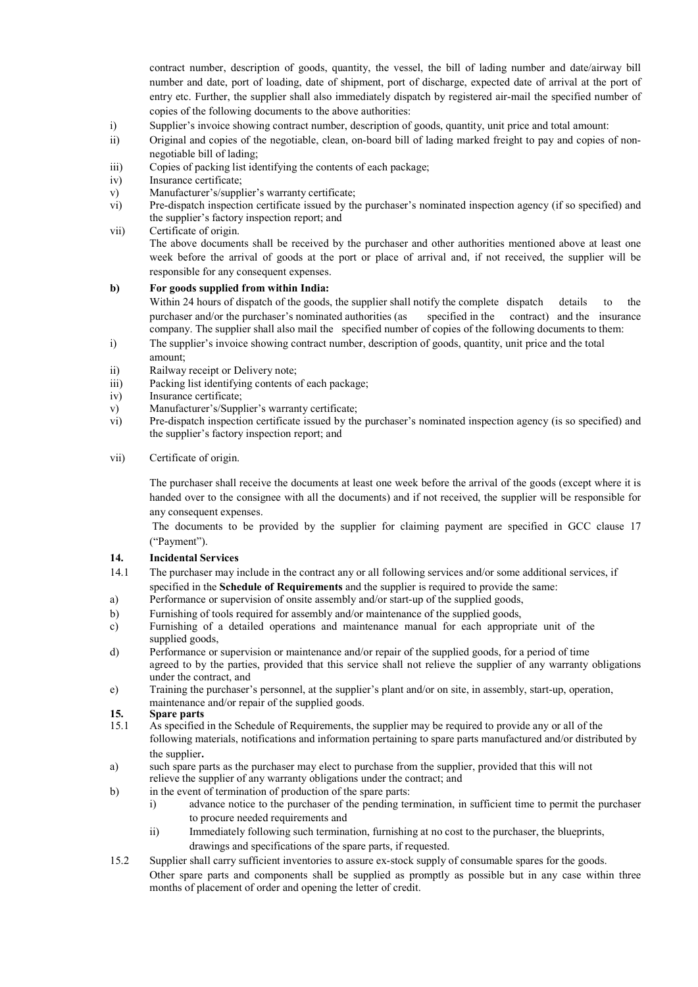contract number, description of goods, quantity, the vessel, the bill of lading number and date/airway bill number and date, port of loading, date of shipment, port of discharge, expected date of arrival at the port of entry etc. Further, the supplier shall also immediately dispatch by registered air-mail the specified number of copies of the following documents to the above authorities:

- i) Supplier's invoice showing contract number, description of goods, quantity, unit price and total amount:
- ii) Original and copies of the negotiable, clean, on-board bill of lading marked freight to pay and copies of nonnegotiable bill of lading;
- iii) Copies of packing list identifying the contents of each package;
- iv) Insurance certificate;
- v) Manufacturer's/supplier's warranty certificate;
- vi) Pre-dispatch inspection certificate issued by the purchaser's nominated inspection agency (if so specified) and the supplier's factory inspection report; and
- vii) Certificate of origin. The above documents shall be received by the purchaser and other authorities mentioned above at least one week before the arrival of goods at the port or place of arrival and, if not received, the supplier will be responsible for any consequent expenses.

#### **b) For goods supplied from within India:**

Within 24 hours of dispatch of the goods, the supplier shall notify the complete dispatch details to the purchaser and/or the purchaser's nominated authorities (as specified in the contract) and the insurance company. The supplier shall also mail the specified number of copies of the following documents to them:

- i) The supplier's invoice showing contract number, description of goods, quantity, unit price and the total amount;
- ii) Railway receipt or Delivery note;
- iii) Packing list identifying contents of each package;
- iv) Insurance certificate;
- v) Manufacturer's/Supplier's warranty certificate;<br>vi) Pre-dispatch inspection certificate issued by the
- vi) Pre-dispatch inspection certificate issued by the purchaser's nominated inspection agency (is so specified) and the supplier's factory inspection report; and

#### vii) Certificate of origin.

The purchaser shall receive the documents at least one week before the arrival of the goods (except where it is handed over to the consignee with all the documents) and if not received, the supplier will be responsible for any consequent expenses.

The documents to be provided by the supplier for claiming payment are specified in GCC clause 17 ("Payment").

#### **14. Incidental Services**

- 14.1 The purchaser may include in the contract any or all following services and/or some additional services, if specified in the **Schedule of Requirements** and the supplier is required to provide the same:
- a) Performance or supervision of onsite assembly and/or start-up of the supplied goods,
- b) Furnishing of tools required for assembly and/or maintenance of the supplied goods,
- c) Furnishing of a detailed operations and maintenance manual for each appropriate unit of the supplied goods,
- d) Performance or supervision or maintenance and/or repair of the supplied goods, for a period of time agreed to by the parties, provided that this service shall not relieve the supplier of any warranty obligations under the contract, and
- e) Training the purchaser's personnel, at the supplier's plant and/or on site, in assembly, start-up, operation, maintenance and/or repair of the supplied goods.

#### **15. Spare parts**

- 15.1 As specified in the Schedule of Requirements, the supplier may be required to provide any or all of the following materials, notifications and information pertaining to spare parts manufactured and/or distributed by the supplier**.**
- a) such spare parts as the purchaser may elect to purchase from the supplier, provided that this will not relieve the supplier of any warranty obligations under the contract; and
- b) in the event of termination of production of the spare parts:
	- i) advance notice to the purchaser of the pending termination, in sufficient time to permit the purchaser to procure needed requirements and
	- ii) Immediately following such termination, furnishing at no cost to the purchaser, the blueprints, drawings and specifications of the spare parts, if requested.
- 15.2 Supplier shall carry sufficient inventories to assure ex-stock supply of consumable spares for the goods. Other spare parts and components shall be supplied as promptly as possible but in any case within three months of placement of order and opening the letter of credit.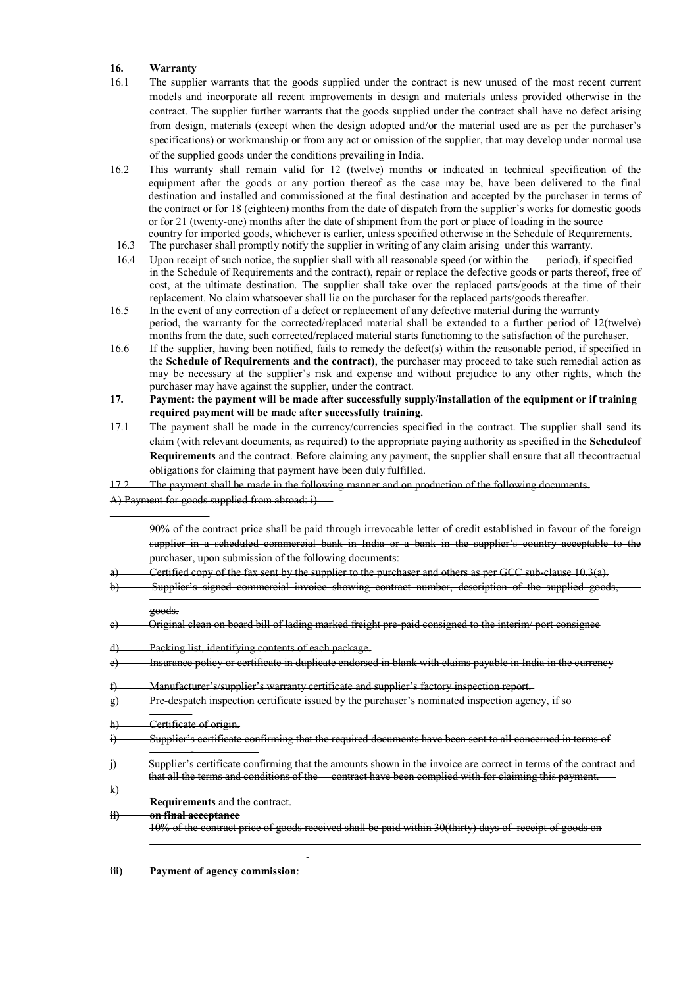#### **16. Warranty**

- 16.1 The supplier warrants that the goods supplied under the contract is new unused of the most recent current models and incorporate all recent improvements in design and materials unless provided otherwise in the contract. The supplier further warrants that the goods supplied under the contract shall have no defect arising from design, materials (except when the design adopted and/or the material used are as per the purchaser's specifications) or workmanship or from any act or omission of the supplier, that may develop under normal use of the supplied goods under the conditions prevailing in India.
- 16.2 This warranty shall remain valid for 12 (twelve) months or indicated in technical specification of the equipment after the goods or any portion thereof as the case may be, have been delivered to the final destination and installed and commissioned at the final destination and accepted by the purchaser in terms of the contract or for 18 (eighteen) months from the date of dispatch from the supplier's works for domestic goods or for 21 (twenty-one) months after the date of shipment from the port or place of loading in the source country for imported goods, whichever is earlier, unless specified otherwise in the Schedule of Requirements.
- 16.3 The purchaser shall promptly notify the supplier in writing of any claim arising under this warranty.
- 16.4 Upon receipt of such notice, the supplier shall with all reasonable speed (or within the period), if specified in the Schedule of Requirements and the contract), repair or replace the defective goods or parts thereof, free of cost, at the ultimate destination. The supplier shall take over the replaced parts/goods at the time of their replacement. No claim whatsoever shall lie on the purchaser for the replaced parts/goods thereafter.
- 16.5 In the event of any correction of a defect or replacement of any defective material during the warranty period, the warranty for the corrected/replaced material shall be extended to a further period of 12(twelve) months from the date, such corrected/replaced material starts functioning to the satisfaction of the purchaser.
- 16.6 If the supplier, having been notified, fails to remedy the defect(s) within the reasonable period, if specified in the **Schedule of Requirements and the contract)**, the purchaser may proceed to take such remedial action as may be necessary at the supplier's risk and expense and without prejudice to any other rights, which the purchaser may have against the supplier, under the contract.
- **17. Payment: the payment will be made after successfully supply/installation of the equipment or if training required payment will be made after successfully training.**
- 17.1 The payment shall be made in the currency/currencies specified in the contract. The supplier shall send its claim (with relevant documents, as required) to the appropriate paying authority as specified in the **Scheduleof Requirements** and the contract. Before claiming any payment, the supplier shall ensure that all thecontractual obligations for claiming that payment have been duly fulfilled.
- The payment shall be made in the following manner and on production of the following documents.
- A) Payment for goods supplied from abroad: i)

|                                    | 90% of the contract price shall be paid through irrevocable letter of credit established in favour of the foreign<br>supplier in a scheduled commercial bank in India or a bank in the supplier's country acceptable to the<br>purchaser, upon submission of the following documents: |
|------------------------------------|---------------------------------------------------------------------------------------------------------------------------------------------------------------------------------------------------------------------------------------------------------------------------------------|
| a.                                 | Certified copy of the fax sent by the supplier to the purchaser and others as per GCC sub-clause 10.3(a).                                                                                                                                                                             |
| Ð                                  | Supplier's signed commercial invoice showing contract number, description of the supplied goods,                                                                                                                                                                                      |
|                                    | goods.                                                                                                                                                                                                                                                                                |
| e                                  | Original clean on board bill of lading marked freight pre-paid consigned to the interim/ port consignee                                                                                                                                                                               |
| $\left  d \right $                 | Packing list, identifying contents of each package.                                                                                                                                                                                                                                   |
| e <sub>t</sub>                     | Insurance policy or certificate in duplicate endorsed in blank with claims payable in India in the currency                                                                                                                                                                           |
|                                    | Manufacturer's/supplier's warranty certificate and supplier's factory inspection report.                                                                                                                                                                                              |
| 刽                                  | Pre-despatch inspection certificate issued by the purchaser's nominated inspection agency, if so                                                                                                                                                                                      |
| ١H                                 | Certificate of origin.                                                                                                                                                                                                                                                                |
|                                    | Supplier's certificate confirming that the required documents have been sent to all concerned in terms of                                                                                                                                                                             |
| $\mathbf{\hat{H}}$<br>$\downarrow$ | Supplier's certificate confirming that the amounts shown in the invoice are correct in terms of the contract and<br>that all the terms and conditions of the contract have been complied with for claiming this payment.                                                              |
|                                    | Requirements and the contract.                                                                                                                                                                                                                                                        |
| $\ddot{H}$                         | on final acceptance                                                                                                                                                                                                                                                                   |
|                                    | 10% of the contract price of goods received shall be paid within 30(thirty) days of receipt of goods on                                                                                                                                                                               |
|                                    |                                                                                                                                                                                                                                                                                       |

**iii) Payment of agency commission**: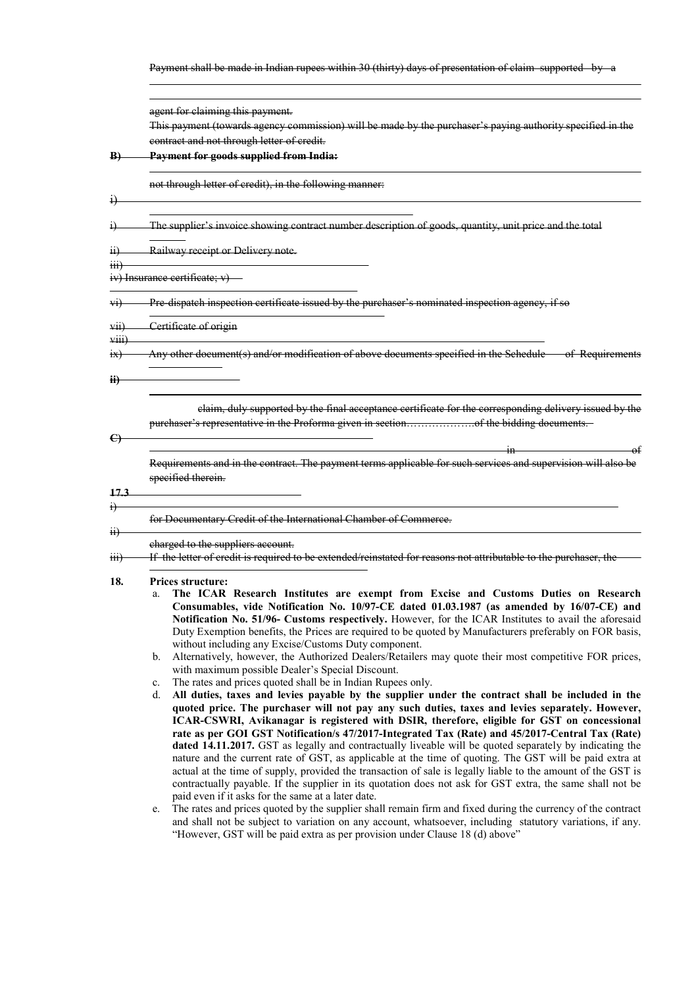Payment shall be made in Indian rupees within 30 (thirty) days of presentation of claim supported by

agent for claiming this payment. This payment (towards agency commission) will be made by the purchaser's paying authority specified in the contract and not through letter of credit. **B) Payment for goods supplied from India:**  not through letter of credit), in the following manner: i) i) The supplier's invoice showing contract number description of goods, quantity, unit price and the total ii) Railway receipt or Delivery note. iii) iv) Insurance certificate; v) vi) Pre-dispatch inspection certificate issued by the purchaser's nominated inspection agency, if so vii) Certificate of origin viii) ix) Any other document(s) and/or modification of above documents specified in the Schedule of Requirements **ii)** claim, duly supported by the final acceptance certificate for the corresponding delivery issued by the **C)** purchaser's representative in the Proforma given in section……………….of the bidding documents. in of Requirements and in the contract. The payment terms applicable for such services and supervision will also be specified therein. **17.3** i) for Documentary Credit of the International Chamber of Commerce. ii) charged to the suppliers account. iii) If the letter of credit is required to be extended/reinstated for reasons not attributable to the purchaser, the **18. Prices structure:** a. **The ICAR Research Institutes are exempt from Excise and Customs Duties on Research Consumables, vide Notification No. 10/97-CE dated 01.03.1987 (as amended by 16/07-CE) and Notification No. 51/96- Customs respectively.** However, for the ICAR Institutes to avail the aforesaid Duty Exemption benefits, the Prices are required to be quoted by Manufacturers preferably on FOR basis, without including any Excise/Customs Duty component. b. Alternatively, however, the Authorized Dealers/Retailers may quote their most competitive FOR prices, with maximum possible Dealer's Special Discount.

- c. The rates and prices quoted shall be in Indian Rupees only.
- d. **All duties, taxes and levies payable by the supplier under the contract shall be included in the quoted price. The purchaser will not pay any such duties, taxes and levies separately. However, ICAR-CSWRI, Avikanagar is registered with DSIR, therefore, eligible for GST on concessional rate as per GOI GST Notification/s 47/2017-Integrated Tax (Rate) and 45/2017-Central Tax (Rate) dated 14.11.2017.** GST as legally and contractually liveable will be quoted separately by indicating the nature and the current rate of GST, as applicable at the time of quoting. The GST will be paid extra at actual at the time of supply, provided the transaction of sale is legally liable to the amount of the GST is contractually payable. If the supplier in its quotation does not ask for GST extra, the same shall not be paid even if it asks for the same at a later date.
- e. The rates and prices quoted by the supplier shall remain firm and fixed during the currency of the contract and shall not be subject to variation on any account, whatsoever, including statutory variations, if any. "However, GST will be paid extra as per provision under Clause 18 (d) above"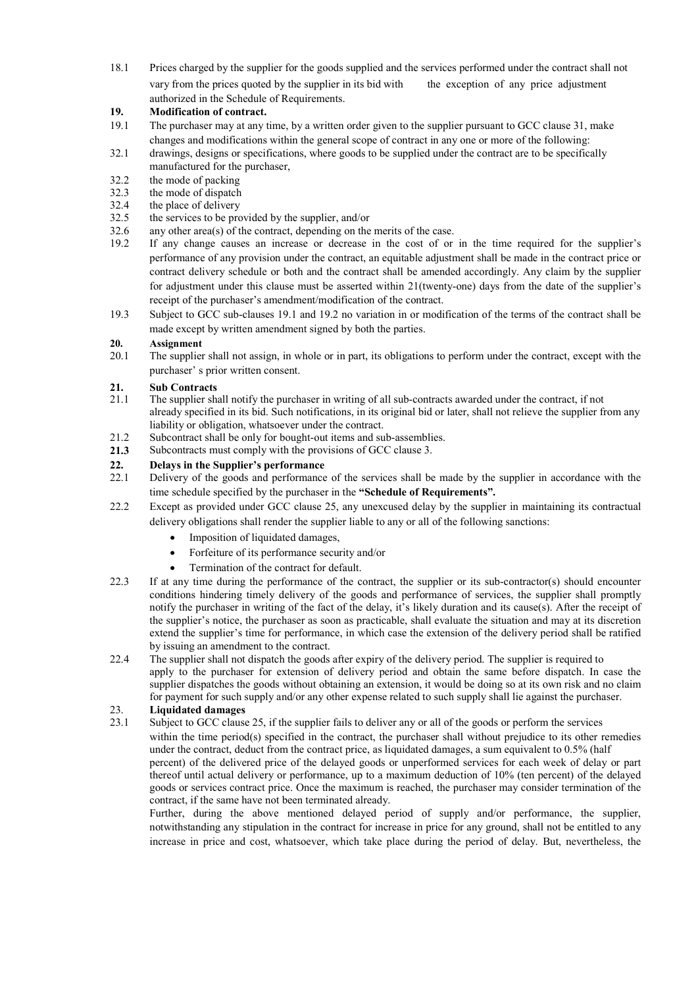18.1 Prices charged by the supplier for the goods supplied and the services performed under the contract shall not vary from the prices quoted by the supplier in its bid with the exception of any price adjustment authorized in the Schedule of Requirements.

#### **19. Modification of contract.**

- 19.1 The purchaser may at any time, by a written order given to the supplier pursuant to GCC clause 31, make changes and modifications within the general scope of contract in any one or more of the following:
- 32.1 drawings, designs or specifications, where goods to be supplied under the contract are to be specifically manufactured for the purchaser,
- $32.2$  the mode of packing<br> $32.3$  the mode of dispatch
- 32.3 the mode of dispatch<br>32.4 the place of delivery
- the place of delivery
- 32.5 the services to be provided by the supplier, and/or
- 32.6 any other area(s) of the contract, depending on the merits of the case.
- 19.2 If any change causes an increase or decrease in the cost of or in the time required for the supplier's performance of any provision under the contract, an equitable adjustment shall be made in the contract price or contract delivery schedule or both and the contract shall be amended accordingly. Any claim by the supplier for adjustment under this clause must be asserted within 21(twenty-one) days from the date of the supplier's receipt of the purchaser's amendment/modification of the contract.
- 19.3 Subject to GCC sub-clauses 19.1 and 19.2 no variation in or modification of the terms of the contract shall be made except by written amendment signed by both the parties.

# **20. Assignment**

The supplier shall not assign, in whole or in part, its obligations to perform under the contract, except with the purchaser' s prior written consent.

#### **21. Sub Contracts**

- 21.1 The supplier shall notify the purchaser in writing of all sub-contracts awarded under the contract, if not already specified in its bid. Such notifications, in its original bid or later, shall not relieve the supplier from any liability or obligation, whatsoever under the contract.
- 21.2 Subcontract shall be only for bought-out items and sub-assemblies.
- **21.3** Subcontracts must comply with the provisions of GCC clause 3.

#### **22. Delays in the Supplier's performance**

- 22.1 Delivery of the goods and performance of the services shall be made by the supplier in accordance with the time schedule specified by the purchaser in the **"Schedule of Requirements".**
- 22.2 Except as provided under GCC clause 25, any unexcused delay by the supplier in maintaining its contractual delivery obligations shall render the supplier liable to any or all of the following sanctions:
	- Imposition of liquidated damages,
	- Forfeiture of its performance security and/or
	- Termination of the contract for default.
- 22.3 If at any time during the performance of the contract, the supplier or its sub-contractor(s) should encounter conditions hindering timely delivery of the goods and performance of services, the supplier shall promptly notify the purchaser in writing of the fact of the delay, it's likely duration and its cause(s). After the receipt of the supplier's notice, the purchaser as soon as practicable, shall evaluate the situation and may at its discretion extend the supplier's time for performance, in which case the extension of the delivery period shall be ratified by issuing an amendment to the contract.
- 22.4 The supplier shall not dispatch the goods after expiry of the delivery period. The supplier is required to apply to the purchaser for extension of delivery period and obtain the same before dispatch. In case the supplier dispatches the goods without obtaining an extension, it would be doing so at its own risk and no claim for payment for such supply and/or any other expense related to such supply shall lie against the purchaser.

# 23. **Liquidated damages**

23.1 Subject to GCC clause 25, if the supplier fails to deliver any or all of the goods or perform the services within the time period(s) specified in the contract, the purchaser shall without prejudice to its other remedies under the contract, deduct from the contract price, as liquidated damages, a sum equivalent to 0.5% (half percent) of the delivered price of the delayed goods or unperformed services for each week of delay or part thereof until actual delivery or performance, up to a maximum deduction of 10% (ten percent) of the delayed goods or services contract price. Once the maximum is reached, the purchaser may consider termination of the contract, if the same have not been terminated already.

Further, during the above mentioned delayed period of supply and/or performance, the supplier, notwithstanding any stipulation in the contract for increase in price for any ground, shall not be entitled to any increase in price and cost, whatsoever, which take place during the period of delay. But, nevertheless, the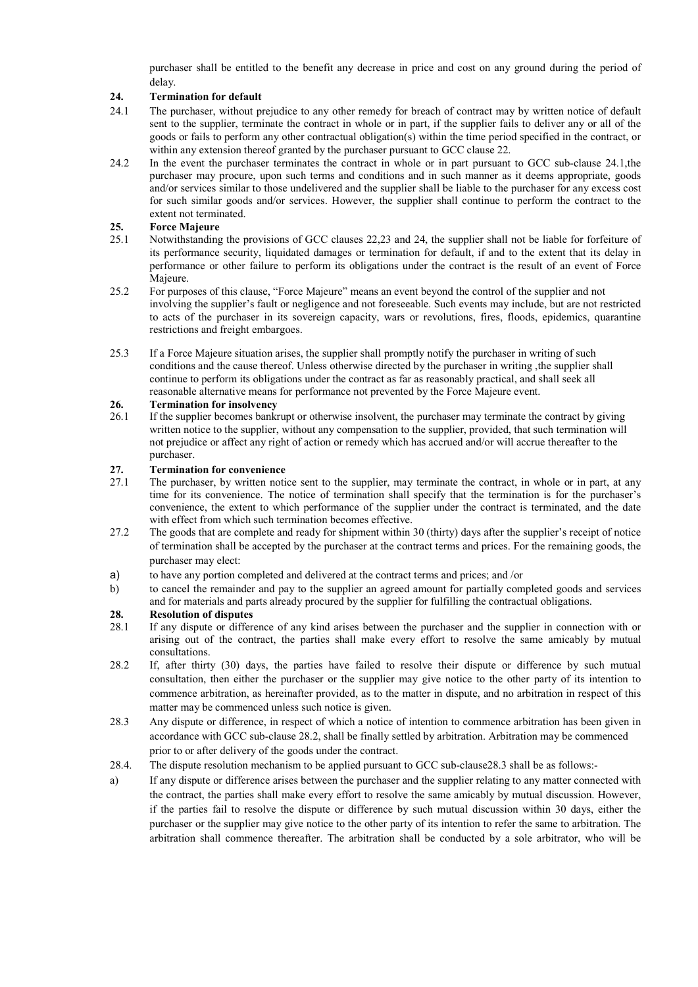purchaser shall be entitled to the benefit any decrease in price and cost on any ground during the period of delay.

#### **24. Termination for default**

- 24.1 The purchaser, without prejudice to any other remedy for breach of contract may by written notice of default sent to the supplier, terminate the contract in whole or in part, if the supplier fails to deliver any or all of the goods or fails to perform any other contractual obligation(s) within the time period specified in the contract, or within any extension thereof granted by the purchaser pursuant to GCC clause 22.
- 24.2 In the event the purchaser terminates the contract in whole or in part pursuant to GCC sub-clause 24.1,the purchaser may procure, upon such terms and conditions and in such manner as it deems appropriate, goods and/or services similar to those undelivered and the supplier shall be liable to the purchaser for any excess cost for such similar goods and/or services. However, the supplier shall continue to perform the contract to the extent not terminated.

#### **25. Force Majeure**

- 25.1 Notwithstanding the provisions of GCC clauses 22,23 and 24, the supplier shall not be liable for forfeiture of its performance security, liquidated damages or termination for default, if and to the extent that its delay in performance or other failure to perform its obligations under the contract is the result of an event of Force Majeure.
- 25.2 For purposes of this clause, "Force Majeure" means an event beyond the control of the supplier and not involving the supplier's fault or negligence and not foreseeable. Such events may include, but are not restricted to acts of the purchaser in its sovereign capacity, wars or revolutions, fires, floods, epidemics, quarantine restrictions and freight embargoes.
- 25.3 If a Force Majeure situation arises, the supplier shall promptly notify the purchaser in writing of such conditions and the cause thereof. Unless otherwise directed by the purchaser in writing ,the supplier shall continue to perform its obligations under the contract as far as reasonably practical, and shall seek all reasonable alternative means for performance not prevented by the Force Majeure event.

# 26. **Termination for insolvency**<br>26.1 If the supplier becomes bank

If the supplier becomes bankrupt or otherwise insolvent, the purchaser may terminate the contract by giving written notice to the supplier, without any compensation to the supplier, provided, that such termination will not prejudice or affect any right of action or remedy which has accrued and/or will accrue thereafter to the purchaser.

# **27. Termination for convenience**

- The purchaser, by written notice sent to the supplier, may terminate the contract, in whole or in part, at any time for its convenience. The notice of termination shall specify that the termination is for the purchaser's convenience, the extent to which performance of the supplier under the contract is terminated, and the date with effect from which such termination becomes effective.
- 27.2 The goods that are complete and ready for shipment within 30 (thirty) days after the supplier's receipt of notice of termination shall be accepted by the purchaser at the contract terms and prices. For the remaining goods, the purchaser may elect:
- a) to have any portion completed and delivered at the contract terms and prices; and /or
- b) to cancel the remainder and pay to the supplier an agreed amount for partially completed goods and services and for materials and parts already procured by the supplier for fulfilling the contractual obligations.

#### **28. Resolution of disputes**

- 28.1 If any dispute or difference of any kind arises between the purchaser and the supplier in connection with or arising out of the contract, the parties shall make every effort to resolve the same amicably by mutual consultations.
- 28.2 If, after thirty (30) days, the parties have failed to resolve their dispute or difference by such mutual consultation, then either the purchaser or the supplier may give notice to the other party of its intention to commence arbitration, as hereinafter provided, as to the matter in dispute, and no arbitration in respect of this matter may be commenced unless such notice is given.
- 28.3 Any dispute or difference, in respect of which a notice of intention to commence arbitration has been given in accordance with GCC sub-clause 28.2, shall be finally settled by arbitration. Arbitration may be commenced prior to or after delivery of the goods under the contract.
- 28.4. The dispute resolution mechanism to be applied pursuant to GCC sub-clause28.3 shall be as follows:-
- a) If any dispute or difference arises between the purchaser and the supplier relating to any matter connected with the contract, the parties shall make every effort to resolve the same amicably by mutual discussion. However, if the parties fail to resolve the dispute or difference by such mutual discussion within 30 days, either the purchaser or the supplier may give notice to the other party of its intention to refer the same to arbitration. The arbitration shall commence thereafter. The arbitration shall be conducted by a sole arbitrator, who will be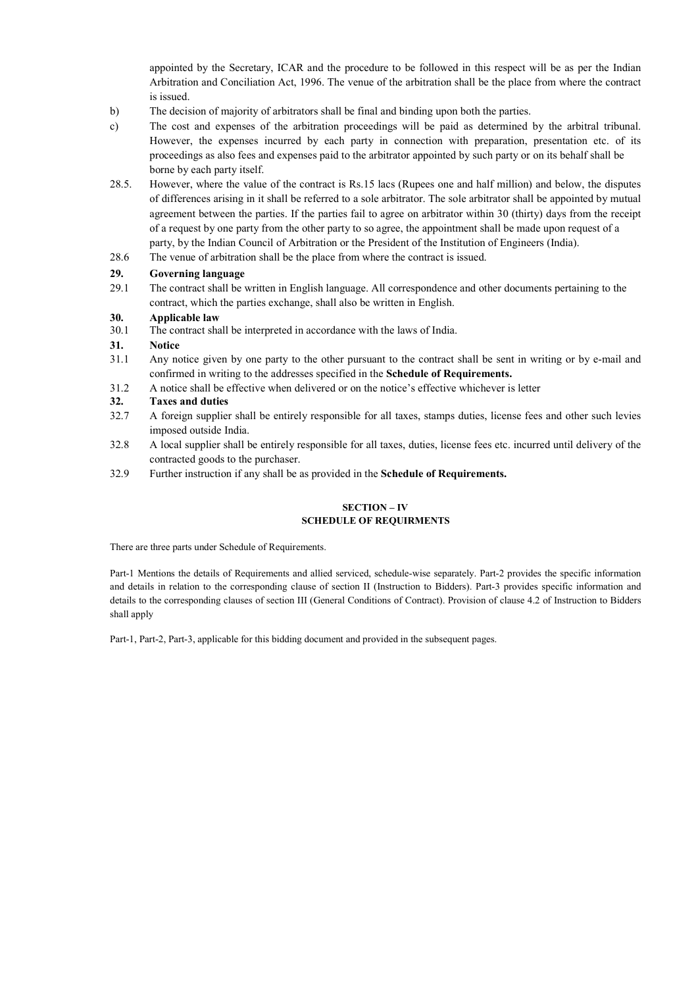appointed by the Secretary, ICAR and the procedure to be followed in this respect will be as per the Indian Arbitration and Conciliation Act, 1996. The venue of the arbitration shall be the place from where the contract is issued.

- b) The decision of majority of arbitrators shall be final and binding upon both the parties.
- c) The cost and expenses of the arbitration proceedings will be paid as determined by the arbitral tribunal. However, the expenses incurred by each party in connection with preparation, presentation etc. of its proceedings as also fees and expenses paid to the arbitrator appointed by such party or on its behalf shall be borne by each party itself.
- 28.5. However, where the value of the contract is Rs.15 lacs (Rupees one and half million) and below, the disputes of differences arising in it shall be referred to a sole arbitrator. The sole arbitrator shall be appointed by mutual agreement between the parties. If the parties fail to agree on arbitrator within 30 (thirty) days from the receipt of a request by one party from the other party to so agree, the appointment shall be made upon request of a party, by the Indian Council of Arbitration or the President of the Institution of Engineers (India).
- 28.6 The venue of arbitration shall be the place from where the contract is issued.

#### **29. Governing language**

29.1 The contract shall be written in English language. All correspondence and other documents pertaining to the contract, which the parties exchange, shall also be written in English.

#### **30. Applicable law**

30.1 The contract shall be interpreted in accordance with the laws of India.

#### **31. Notice**

- 31.1 Any notice given by one party to the other pursuant to the contract shall be sent in writing or by e-mail and confirmed in writing to the addresses specified in the **Schedule of Requirements.**
- 31.2 A notice shall be effective when delivered or on the notice's effective whichever is letter

#### **32. Taxes and duties**

- 32.7 A foreign supplier shall be entirely responsible for all taxes, stamps duties, license fees and other such levies imposed outside India.
- 32.8 A local supplier shall be entirely responsible for all taxes, duties, license fees etc. incurred until delivery of the contracted goods to the purchaser.
- 32.9 Further instruction if any shall be as provided in the **Schedule of Requirements.**

#### **SECTION – IV SCHEDULE OF REQUIRMENTS**

There are three parts under Schedule of Requirements.

Part-1 Mentions the details of Requirements and allied serviced, schedule-wise separately. Part-2 provides the specific information and details in relation to the corresponding clause of section II (Instruction to Bidders). Part-3 provides specific information and details to the corresponding clauses of section III (General Conditions of Contract). Provision of clause 4.2 of Instruction to Bidders shall apply

Part-1, Part-2, Part-3, applicable for this bidding document and provided in the subsequent pages.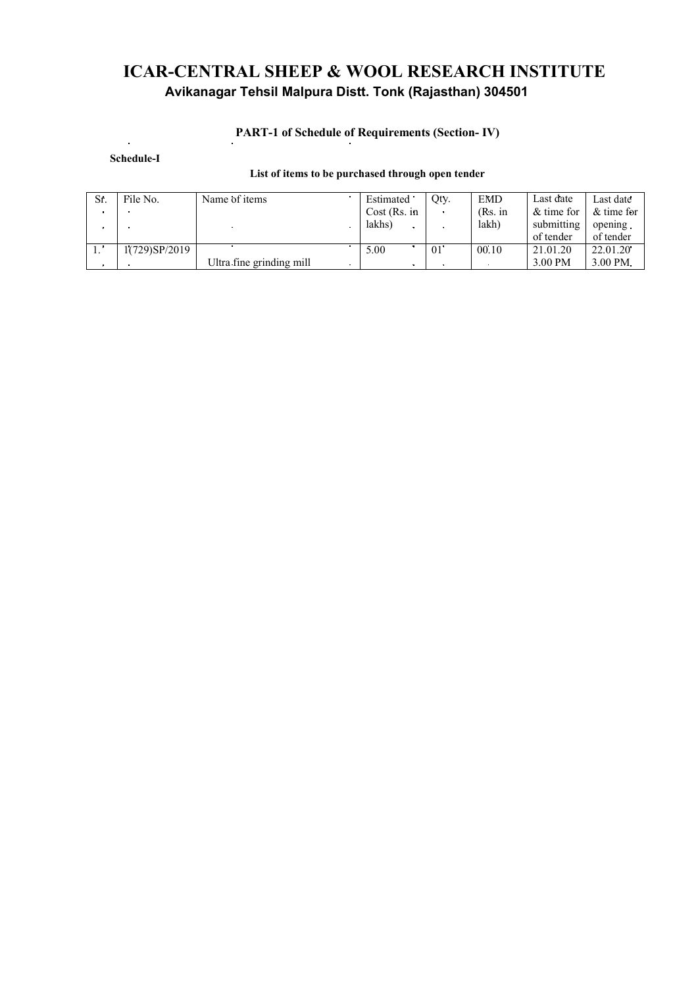### **ICAR-CENTRAL SHEEP & WOOL RESEARCH INSTITUTE Avikanagar Tehsil Malpura Distt. Tonk (Rajasthan) 304501**

# **PART-1 of Schedule of Requirements (Section- IV)**

**Schedule-I**

#### **List of items to be purchased through open tender**

| Sr. | File No.      | Name of items            | Estimated    | Otv.              | <b>EMD</b> | Last date  | Last date    |
|-----|---------------|--------------------------|--------------|-------------------|------------|------------|--------------|
|     |               |                          | Cost (Rs. in |                   | (Rs. in    | & time for | $&$ time for |
|     |               |                          | lakhs)       |                   | lakh)      | submitting | opening.     |
|     |               |                          |              |                   |            | of tender  | of tender    |
|     | 1(729)SP/2019 |                          | 5.00         | $01$ <sup>-</sup> | 00.10      | 21.01.20   | 22.01.20     |
|     |               | Ultra fine grinding mill |              |                   |            | 3.00 PM    | 3.00 PM.     |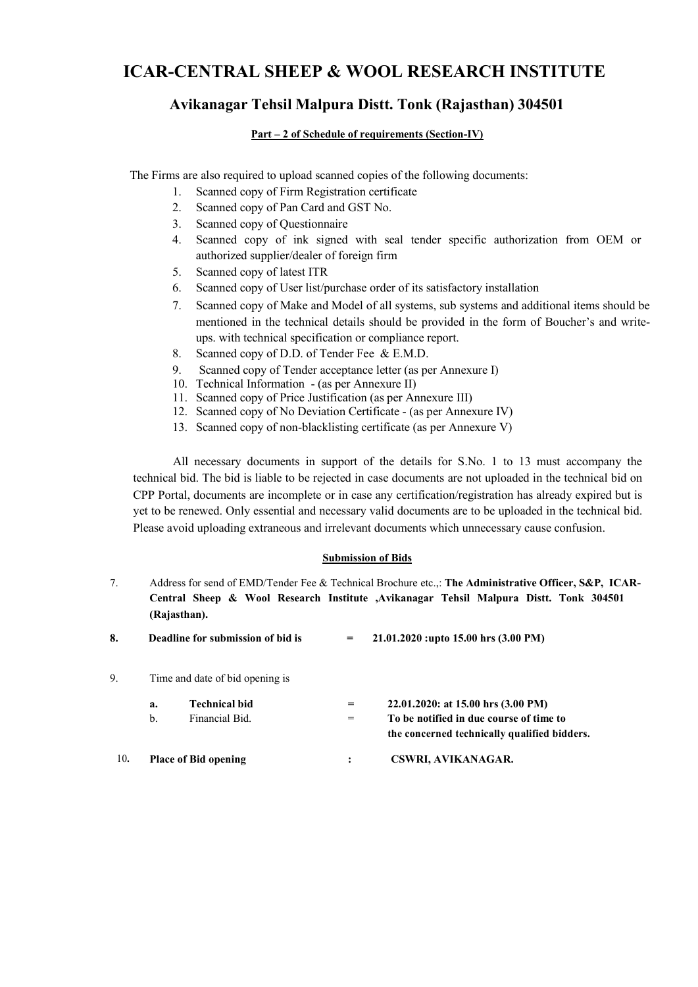### **ICAR-CENTRAL SHEEP & WOOL RESEARCH INSTITUTE**

### **Avikanagar Tehsil Malpura Distt. Tonk (Rajasthan) 304501**

#### **Part – 2 of Schedule of requirements (Section-IV)**

The Firms are also required to upload scanned copies of the following documents:

- 1. Scanned copy of Firm Registration certificate
- 2. Scanned copy of Pan Card and GST No.
- 3. Scanned copy of Questionnaire
- 4. Scanned copy of ink signed with seal tender specific authorization from OEM or authorized supplier/dealer of foreign firm
- 5. Scanned copy of latest ITR
- 6. Scanned copy of User list/purchase order of its satisfactory installation
- 7. Scanned copy of Make and Model of all systems, sub systems and additional items should be mentioned in the technical details should be provided in the form of Boucher's and writeups. with technical specification or compliance report.
- 8. Scanned copy of D.D. of Tender Fee & E.M.D.
- 9. Scanned copy of Tender acceptance letter (as per Annexure I)
- 10. Technical Information (as per Annexure II)
- 11. Scanned copy of Price Justification (as per Annexure III)
- 12. Scanned copy of No Deviation Certificate (as per Annexure IV)
- 13. Scanned copy of non-blacklisting certificate (as per Annexure V)

All necessary documents in support of the details for S.No. 1 to 13 must accompany the technical bid. The bid is liable to be rejected in case documents are not uploaded in the technical bid on CPP Portal, documents are incomplete or in case any certification/registration has already expired but is yet to be renewed. Only essential and necessary valid documents are to be uploaded in the technical bid. Please avoid uploading extraneous and irrelevant documents which unnecessary cause confusion.

#### **Submission of Bids**

- 7. Address for send of EMD/Tender Fee & Technical Brochure etc.,: **The Administrative Officer, S&P, ICAR-Central Sheep & Wool Research Institute ,Avikanagar Tehsil Malpura Distt. Tonk 304501 (Rajasthan).**
- **8. Deadline for submission of bid is = 21.01.2020 :upto 15.00 hrs (3.00 PM)**
- 9. Time and date of bid opening is

|     | а. | <b>Technical bid</b>        | $=$ | 22,01,2020: at 15.00 hrs $(3.00 \text{ PM})$ |
|-----|----|-----------------------------|-----|----------------------------------------------|
|     | h. | Financial Bid.              |     | To be notified in due course of time to      |
|     |    |                             |     | the concerned technically qualified bidders. |
| 10. |    | <b>Place of Bid opening</b> |     | CSWRI, AVIKANAGAR.                           |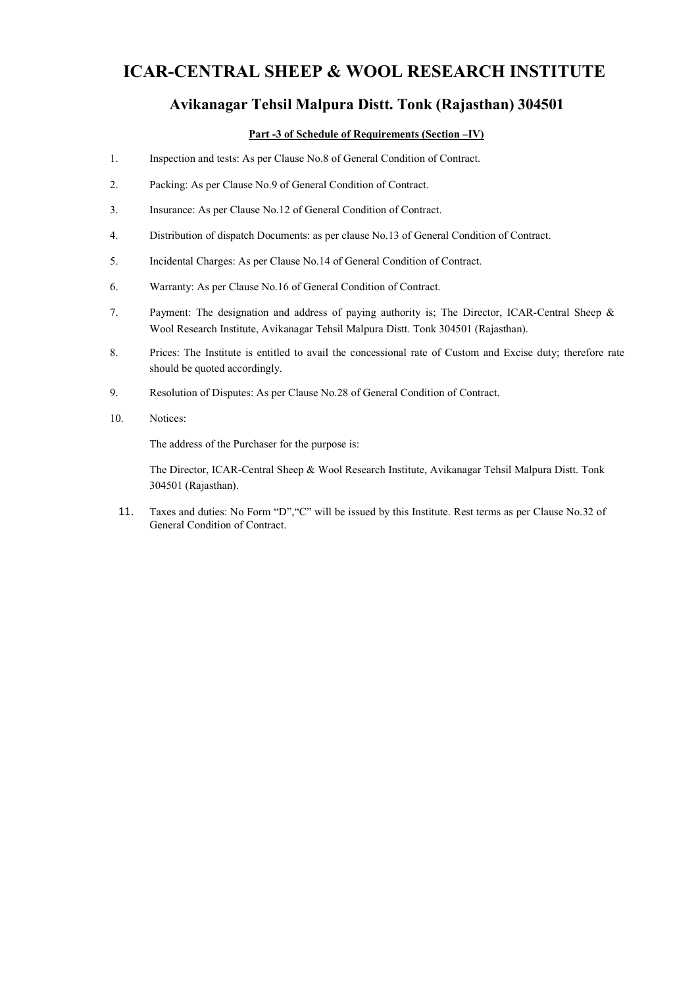### **ICAR-CENTRAL SHEEP & WOOL RESEARCH INSTITUTE**

### **Avikanagar Tehsil Malpura Distt. Tonk (Rajasthan) 304501**

#### **Part -3 of Schedule of Requirements (Section –IV)**

- 1. Inspection and tests: As per Clause No.8 of General Condition of Contract.
- 2. Packing: As per Clause No.9 of General Condition of Contract.
- 3. Insurance: As per Clause No.12 of General Condition of Contract.
- 4. Distribution of dispatch Documents: as per clause No.13 of General Condition of Contract.
- 5. Incidental Charges: As per Clause No.14 of General Condition of Contract.
- 6. Warranty: As per Clause No.16 of General Condition of Contract.
- 7. Payment: The designation and address of paying authority is; The Director, ICAR-Central Sheep & Wool Research Institute, Avikanagar Tehsil Malpura Distt. Tonk 304501 (Rajasthan).
- 8. Prices: The Institute is entitled to avail the concessional rate of Custom and Excise duty; therefore rate should be quoted accordingly.
- 9. Resolution of Disputes: As per Clause No.28 of General Condition of Contract.
- 10. Notices:

The address of the Purchaser for the purpose is:

The Director, ICAR-Central Sheep & Wool Research Institute, Avikanagar Tehsil Malpura Distt. Tonk 304501 (Rajasthan).

11. Taxes and duties: No Form "D","C" will be issued by this Institute. Rest terms as per Clause No.32 of General Condition of Contract.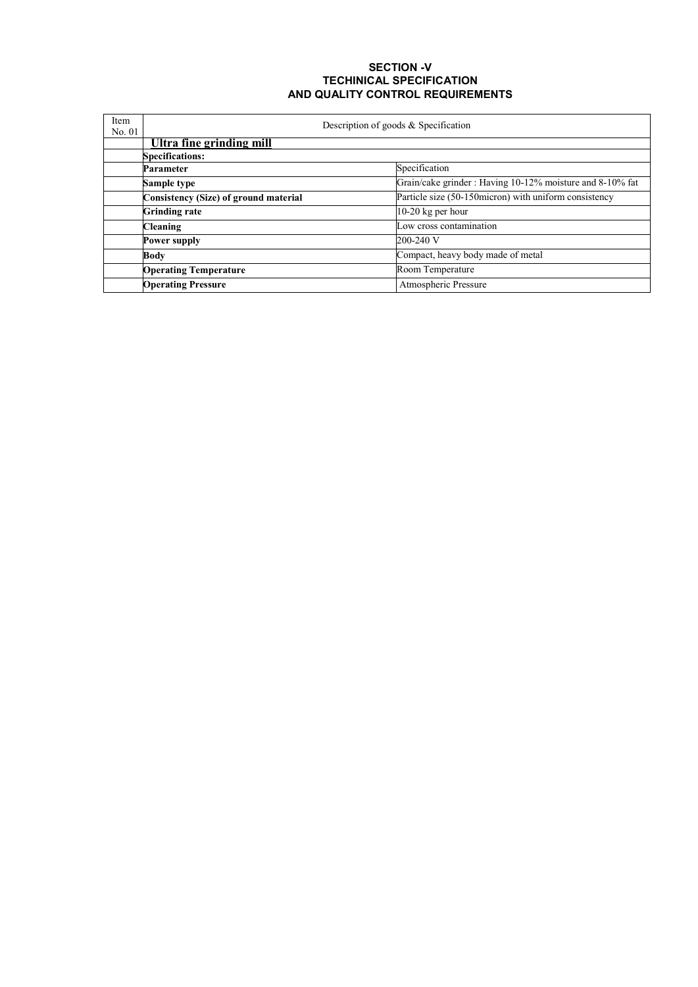#### **SECTION -V TECHINICAL SPECIFICATION AND QUALITY CONTROL REQUIREMENTS**

| Item<br>No. 01 | Description of goods & Specification  |                                                          |  |  |  |
|----------------|---------------------------------------|----------------------------------------------------------|--|--|--|
|                | Ultra fine grinding mill              |                                                          |  |  |  |
|                | <b>Specifications:</b>                |                                                          |  |  |  |
|                | <b>Parameter</b>                      | Specification                                            |  |  |  |
|                | Sample type                           | Grain/cake grinder: Having 10-12% moisture and 8-10% fat |  |  |  |
|                | Consistency (Size) of ground material | Particle size (50-150 micron) with uniform consistency   |  |  |  |
|                | <b>Grinding rate</b>                  | 10-20 kg per hour                                        |  |  |  |
|                | <b>Cleaning</b>                       | Low cross contamination                                  |  |  |  |
|                | <b>Power supply</b>                   | 200-240 V                                                |  |  |  |
|                | <b>Body</b>                           | Compact, heavy body made of metal                        |  |  |  |
|                | <b>Operating Temperature</b>          | Room Temperature                                         |  |  |  |
|                | <b>Operating Pressure</b>             | Atmospheric Pressure                                     |  |  |  |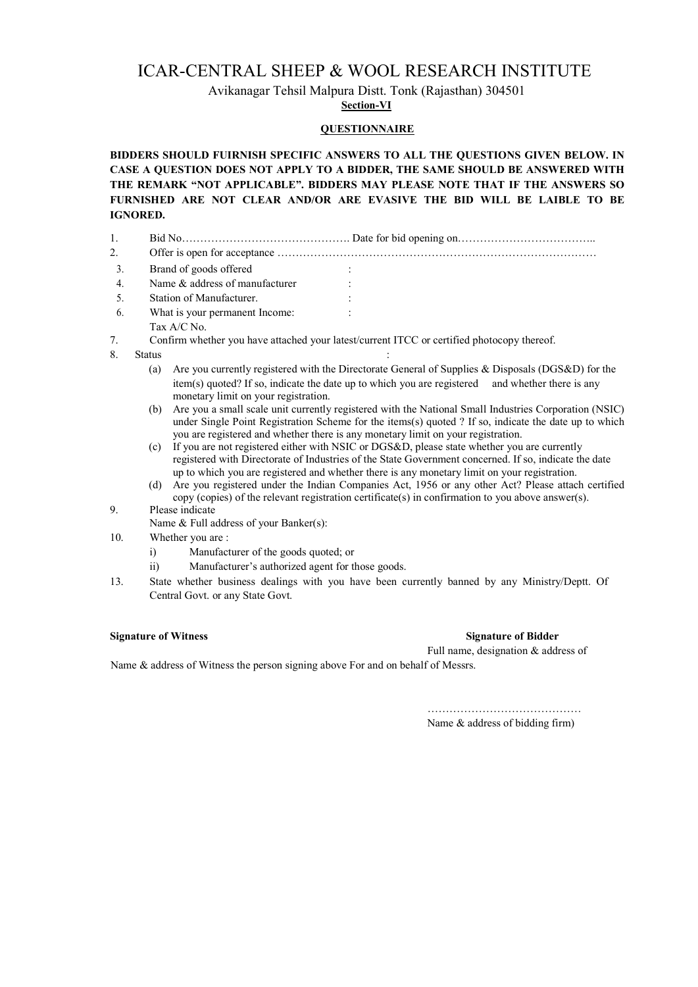### ICAR-CENTRAL SHEEP & WOOL RESEARCH INSTITUTE

Avikanagar Tehsil Malpura Distt. Tonk (Rajasthan) 304501

**Section-VI**

#### **QUESTIONNAIRE**

**BIDDERS SHOULD FUIRNISH SPECIFIC ANSWERS TO ALL THE QUESTIONS GIVEN BELOW. IN CASE A QUESTION DOES NOT APPLY TO A BIDDER, THE SAME SHOULD BE ANSWERED WITH THE REMARK "NOT APPLICABLE". BIDDERS MAY PLEASE NOTE THAT IF THE ANSWERS SO FURNISHED ARE NOT CLEAR AND/OR ARE EVASIVE THE BID WILL BE LAIBLE TO BE IGNORED.**

- 1. Bid No………………………………………. Date for bid opening on………………………………..
- 2. Offer is open for acceptance ……………………………………………………………………………
- 3. Brand of goods offered :
- 4. Name & address of manufacturer :
- 5. Station of Manufacturer. :
- 6. What is your permanent Income: : Tax A/C No.
- 7. Confirm whether you have attached your latest/current ITCC or certified photocopy thereof.
- 8. Status :
	- (a) Are you currently registered with the Directorate General of Supplies & Disposals (DGS&D) for the item(s) quoted? If so, indicate the date up to which you are registered and whether there is any monetary limit on your registration.
	- (b) Are you a small scale unit currently registered with the National Small Industries Corporation (NSIC) under Single Point Registration Scheme for the items(s) quoted ? If so, indicate the date up to which you are registered and whether there is any monetary limit on your registration.
	- (c) If you are not registered either with NSIC or DGS&D, please state whether you are currently registered with Directorate of Industries of the State Government concerned. If so, indicate the date up to which you are registered and whether there is any monetary limit on your registration.
	- (d) Are you registered under the Indian Companies Act, 1956 or any other Act? Please attach certified copy (copies) of the relevant registration certificate(s) in confirmation to you above answer(s).

#### 9. Please indicate

- Name & Full address of your Banker(s):
- 10. Whether you are :
	- i) Manufacturer of the goods quoted; or
	- ii) Manufacturer's authorized agent for those goods.
- 13. State whether business dealings with you have been currently banned by any Ministry/Deptt. Of Central Govt. or any State Govt.

#### **Signature of Witness Signature of Bidder**

Full name, designation & address of

Name & address of Witness the person signing above For and on behalf of Messrs.

…………………………………… Name & address of bidding firm)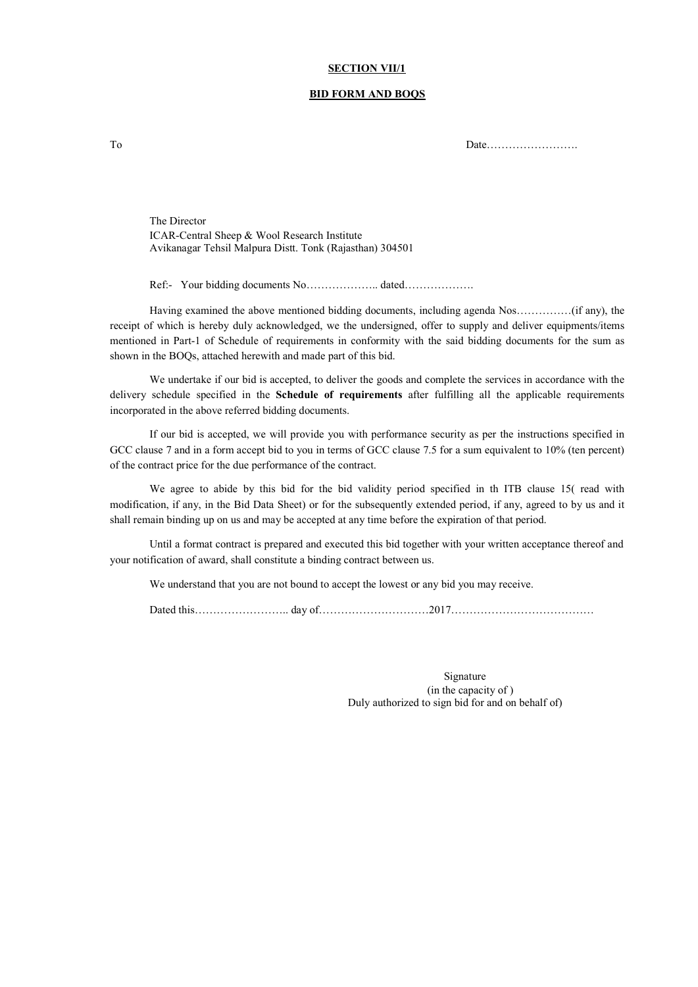#### **SECTION VII/1**

#### **BID FORM AND BOQS**

To Date…………………….

The Director ICAR-Central Sheep & Wool Research Institute Avikanagar Tehsil Malpura Distt. Tonk (Rajasthan) 304501

Ref:- Your bidding documents No……………….. dated……………….

Having examined the above mentioned bidding documents, including agenda Nos……………(if any), the receipt of which is hereby duly acknowledged, we the undersigned, offer to supply and deliver equipments/items mentioned in Part-1 of Schedule of requirements in conformity with the said bidding documents for the sum as shown in the BOQs, attached herewith and made part of this bid.

We undertake if our bid is accepted, to deliver the goods and complete the services in accordance with the delivery schedule specified in the **Schedule of requirements** after fulfilling all the applicable requirements incorporated in the above referred bidding documents.

If our bid is accepted, we will provide you with performance security as per the instructions specified in GCC clause 7 and in a form accept bid to you in terms of GCC clause 7.5 for a sum equivalent to 10% (ten percent) of the contract price for the due performance of the contract.

We agree to abide by this bid for the bid validity period specified in th ITB clause 15( read with modification, if any, in the Bid Data Sheet) or for the subsequently extended period, if any, agreed to by us and it shall remain binding up on us and may be accepted at any time before the expiration of that period.

Until a format contract is prepared and executed this bid together with your written acceptance thereof and your notification of award, shall constitute a binding contract between us.

We understand that you are not bound to accept the lowest or any bid you may receive.

Dated this…………………….. day of…………………………2017…………………………………

Signature (in the capacity of ) Duly authorized to sign bid for and on behalf of)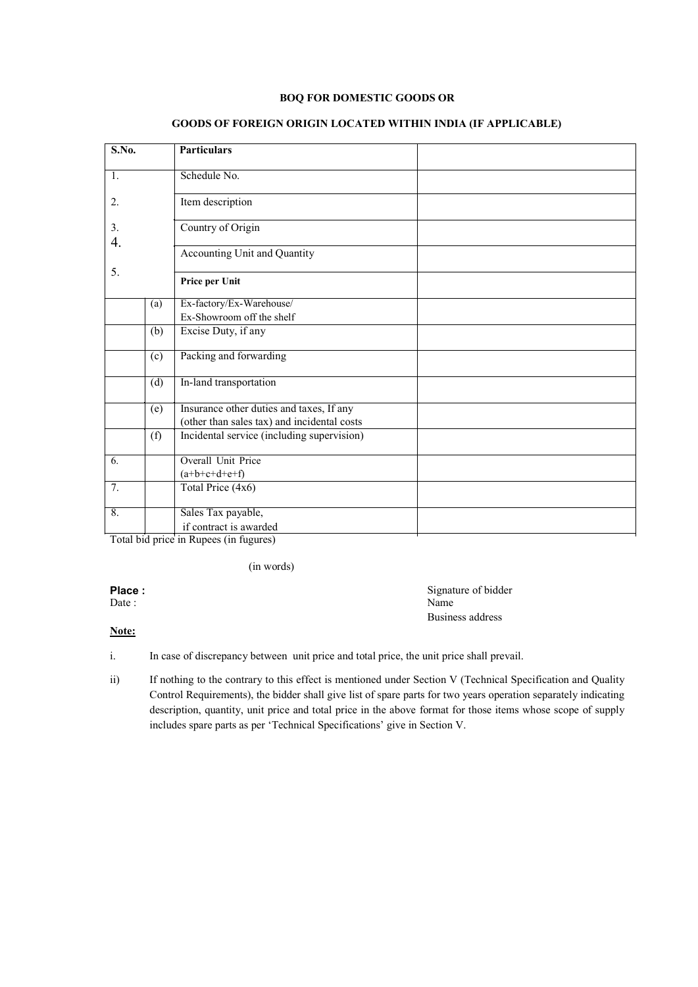#### **BOQ FOR DOMESTIC GOODS OR**

| S.No.            |     | <b>Particulars</b>                          |
|------------------|-----|---------------------------------------------|
|                  |     |                                             |
|                  |     | Schedule No.                                |
| 1.               |     |                                             |
| 2.               |     | Item description                            |
|                  |     |                                             |
| 3.               |     | Country of Origin                           |
| 4.               |     |                                             |
|                  |     | Accounting Unit and Quantity                |
| 5.               |     |                                             |
|                  |     | Price per Unit                              |
|                  |     |                                             |
|                  | (a) | Ex-factory/Ex-Warehouse/                    |
|                  |     | Ex-Showroom off the shelf                   |
|                  | (b) | Excise Duty, if any                         |
|                  |     |                                             |
|                  | (c) | Packing and forwarding                      |
|                  |     |                                             |
|                  | (d) | In-land transportation                      |
|                  | (e) | Insurance other duties and taxes, If any    |
|                  |     | (other than sales tax) and incidental costs |
|                  |     |                                             |
|                  | (f) | Incidental service (including supervision)  |
| 6.               |     | <b>Overall Unit Price</b>                   |
|                  |     | $(a+b+c+d+e+f)$                             |
| $\overline{7}$ . |     | Total Price $(4x6)$                         |
|                  |     |                                             |
| 8.               |     | Sales Tax payable,                          |
|                  |     | if contract is awarded                      |
|                  |     |                                             |

#### **GOODS OF FOREIGN ORIGIN LOCATED WITHIN INDIA (IF APPLICABLE)**

Total bid price in Rupees (in fugures)

(in words)

Date : Name

**Place :** Signature of bidder Date : Signature of bidder Date : Business address

#### **Note:**

- i. In case of discrepancy between unit price and total price, the unit price shall prevail.
- ii) If nothing to the contrary to this effect is mentioned under Section V (Technical Specification and Quality Control Requirements), the bidder shall give list of spare parts for two years operation separately indicating description, quantity, unit price and total price in the above format for those items whose scope of supply includes spare parts as per 'Technical Specifications' give in Section V.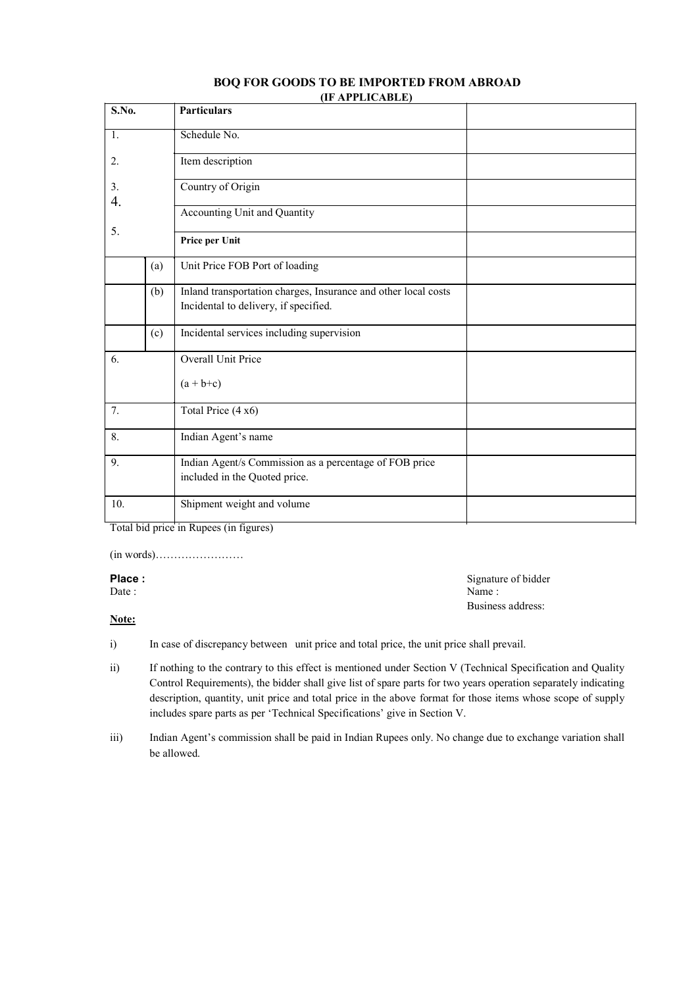#### **BOQ FOR GOODS TO BE IMPORTED FROM ABROAD (IF APPLICABLE)**

| S.No.    |     | <b>Particulars</b>                                                                      |  |
|----------|-----|-----------------------------------------------------------------------------------------|--|
| 1.       |     | Schedule No.                                                                            |  |
| 2.       |     | Item description                                                                        |  |
| 3.<br>4. |     | Country of Origin                                                                       |  |
|          |     | <b>Accounting Unit and Quantity</b>                                                     |  |
| 5.       |     | Price per Unit                                                                          |  |
|          | (a) | Unit Price FOB Port of loading                                                          |  |
|          | (b) | Inland transportation charges, Insurance and other local costs                          |  |
|          |     | Incidental to delivery, if specified.                                                   |  |
|          | (c) | Incidental services including supervision                                               |  |
| 6.       |     | Overall Unit Price                                                                      |  |
|          |     | $(a + b+c)$                                                                             |  |
| 7.       |     | Total Price (4 x6)                                                                      |  |
| 8.       |     | Indian Agent's name                                                                     |  |
| 9.       |     | Indian Agent/s Commission as a percentage of FOB price<br>included in the Quoted price. |  |
| 10.      |     | Shipment weight and volume                                                              |  |

Total bid price in Rupees (in figures)

(in words)……………………

### **Place :** Signature of bidder

Date : Name :

#### **Note:**

i) In case of discrepancy between unit price and total price, the unit price shall prevail.

ii) If nothing to the contrary to this effect is mentioned under Section V (Technical Specification and Quality Control Requirements), the bidder shall give list of spare parts for two years operation separately indicating description, quantity, unit price and total price in the above format for those items whose scope of supply includes spare parts as per 'Technical Specifications' give in Section V.

Business address:

iii) Indian Agent's commission shall be paid in Indian Rupees only. No change due to exchange variation shall be allowed.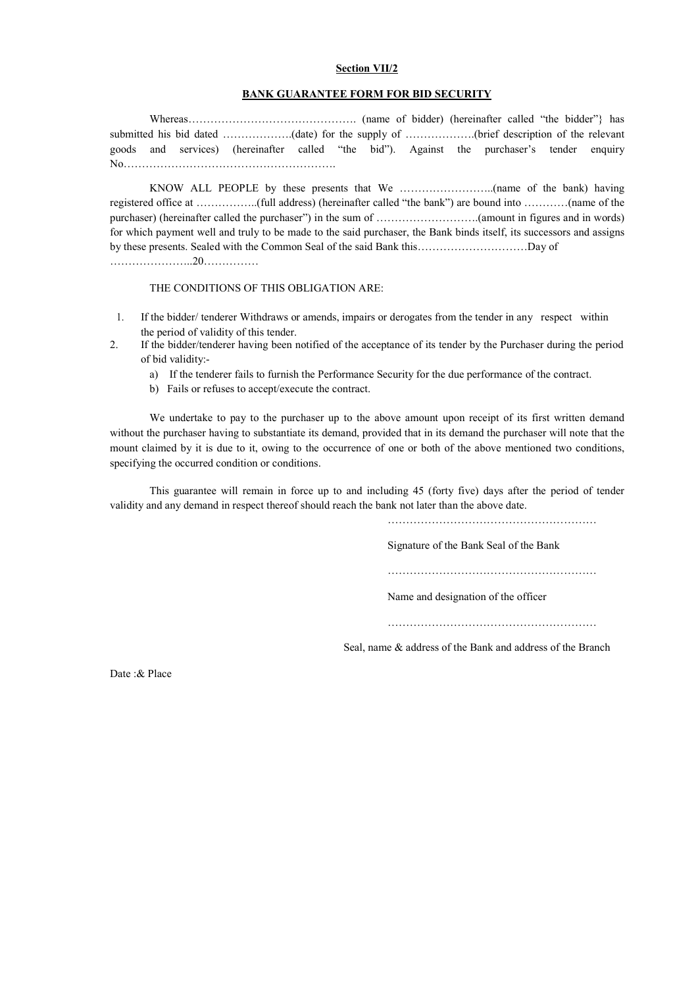#### **Section VII/2**

#### **BANK GUARANTEE FORM FOR BID SECURITY**

Whereas………………………………………. (name of bidder) (hereinafter called "the bidder"} has submitted his bid dated ………………..(date) for the supply of ………………..(brief description of the relevant goods and services) (hereinafter called "the bid"). Against the purchaser's tender enquiry No………………………………………………….

KNOW ALL PEOPLE by these presents that We ……………………..(name of the bank) having registered office at ……………..(full address) (hereinafter called "the bank") are bound into …………(name of the purchaser) (hereinafter called the purchaser") in the sum of ……………………….(amount in figures and in words) for which payment well and truly to be made to the said purchaser, the Bank binds itself, its successors and assigns by these presents. Sealed with the Common Seal of the said Bank this…………………………Day of …………………..20……………

THE CONDITIONS OF THIS OBLIGATION ARE:

- 1. If the bidder/ tenderer Withdraws or amends, impairs or derogates from the tender in any respect within the period of validity of this tender.
- 2. If the bidder/tenderer having been notified of the acceptance of its tender by the Purchaser during the period of bid validity:
	- a) If the tenderer fails to furnish the Performance Security for the due performance of the contract.
	- b) Fails or refuses to accept/execute the contract.

We undertake to pay to the purchaser up to the above amount upon receipt of its first written demand without the purchaser having to substantiate its demand, provided that in its demand the purchaser will note that the mount claimed by it is due to it, owing to the occurrence of one or both of the above mentioned two conditions, specifying the occurred condition or conditions.

This guarantee will remain in force up to and including 45 (forty five) days after the period of tender validity and any demand in respect thereof should reach the bank not later than the above date.

…………………………………………………

Signature of the Bank Seal of the Bank

…………………………………………………

Name and designation of the officer

…………………………………………………

Seal, name & address of the Bank and address of the Branch

Date :& Place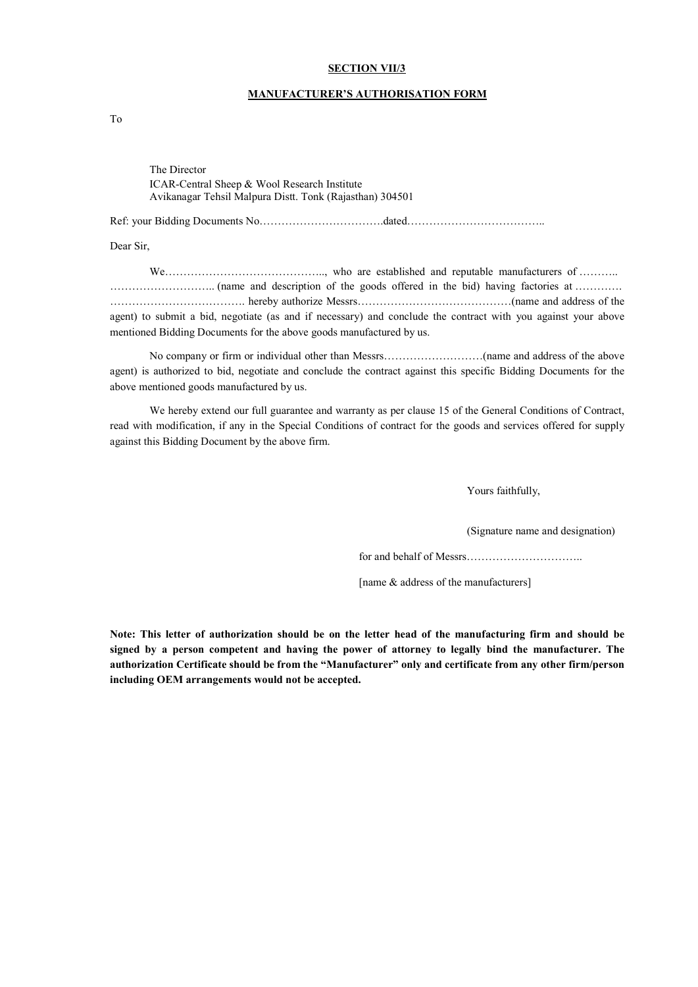#### **SECTION VII/3**

#### **MANUFACTURER'S AUTHORISATION FORM**

To

The Director ICAR-Central Sheep & Wool Research Institute Avikanagar Tehsil Malpura Distt. Tonk (Rajasthan) 304501

Ref: your Bidding Documents No…………………………….dated………………………………..

Dear Sir,

We…………………………………….., who are established and reputable manufacturers of ……….. ……………………….. (name and description of the goods offered in the bid) having factories at …………. ………………………………. hereby authorize Messrs……………………………………(name and address of the agent) to submit a bid, negotiate (as and if necessary) and conclude the contract with you against your above mentioned Bidding Documents for the above goods manufactured by us.

No company or firm or individual other than Messrs………………………(name and address of the above agent) is authorized to bid, negotiate and conclude the contract against this specific Bidding Documents for the above mentioned goods manufactured by us.

We hereby extend our full guarantee and warranty as per clause 15 of the General Conditions of Contract, read with modification, if any in the Special Conditions of contract for the goods and services offered for supply against this Bidding Document by the above firm.

Yours faithfully,

(Signature name and designation)

for and behalf of Messrs…………………………..

[name & address of the manufacturers]

**Note: This letter of authorization should be on the letter head of the manufacturing firm and should be signed by a person competent and having the power of attorney to legally bind the manufacturer. The authorization Certificate should be from the "Manufacturer" only and certificate from any other firm/person including OEM arrangements would not be accepted.**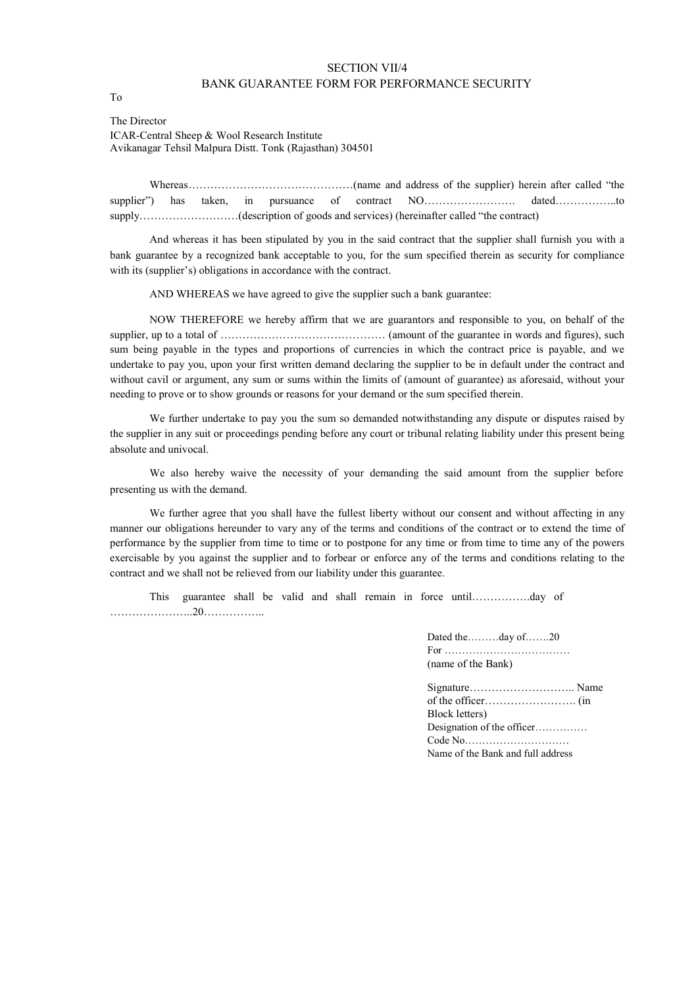#### SECTION VII/4 BANK GUARANTEE FORM FOR PERFORMANCE SECURITY

The Director ICAR-Central Sheep & Wool Research Institute Avikanagar Tehsil Malpura Distt. Tonk (Rajasthan) 304501

Whereas………………………………………(name and address of the supplier) herein after called "the supplier") has taken, in pursuance of contract NO………………………………………………to supply………………………(description of goods and services) (hereinafter called "the contract)

And whereas it has been stipulated by you in the said contract that the supplier shall furnish you with a bank guarantee by a recognized bank acceptable to you, for the sum specified therein as security for compliance with its (supplier's) obligations in accordance with the contract.

AND WHEREAS we have agreed to give the supplier such a bank guarantee:

NOW THEREFORE we hereby affirm that we are guarantors and responsible to you, on behalf of the supplier, up to a total of ……………………………………… (amount of the guarantee in words and figures), such sum being payable in the types and proportions of currencies in which the contract price is payable, and we undertake to pay you, upon your first written demand declaring the supplier to be in default under the contract and without cavil or argument, any sum or sums within the limits of (amount of guarantee) as aforesaid, without your needing to prove or to show grounds or reasons for your demand or the sum specified therein.

We further undertake to pay you the sum so demanded notwithstanding any dispute or disputes raised by the supplier in any suit or proceedings pending before any court or tribunal relating liability under this present being absolute and univocal.

We also hereby waive the necessity of your demanding the said amount from the supplier before presenting us with the demand.

We further agree that you shall have the fullest liberty without our consent and without affecting in any manner our obligations hereunder to vary any of the terms and conditions of the contract or to extend the time of performance by the supplier from time to time or to postpone for any time or from time to time any of the powers exercisable by you against the supplier and to forbear or enforce any of the terms and conditions relating to the contract and we shall not be relieved from our liability under this guarantee.

This guarantee shall be valid and shall remain in force until…………….day of …………………..20……………..

> Dated the………day of…….20 For ……………………………… (name of the Bank)

| Block letters)                    |  |
|-----------------------------------|--|
| Designation of the officer        |  |
|                                   |  |
| Name of the Bank and full address |  |

To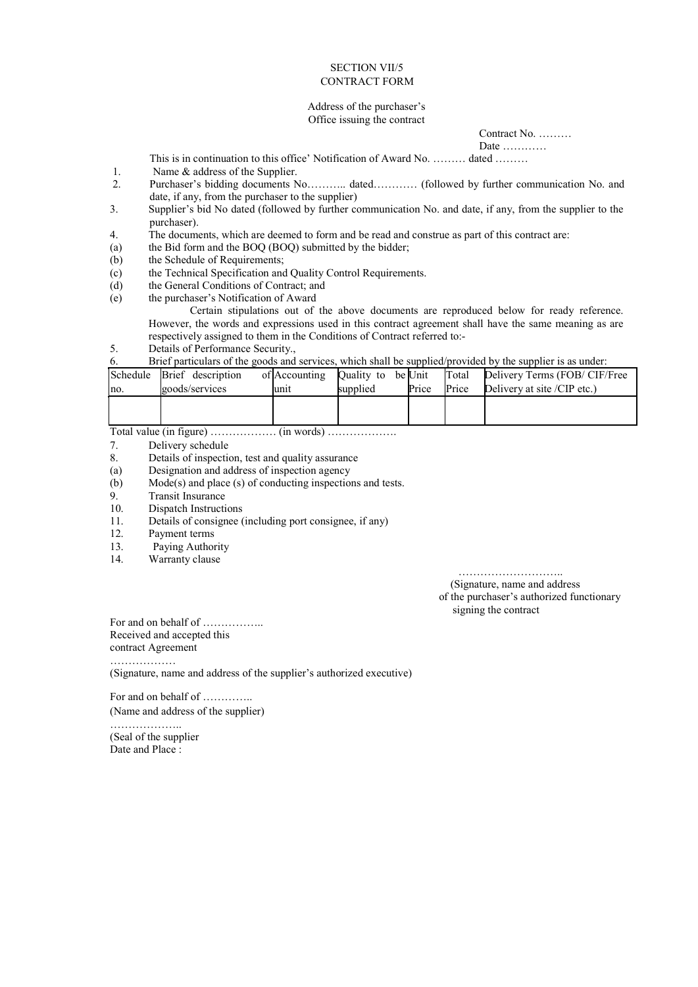#### SECTION VII/5 CONTRACT FORM

#### Address of the purchaser's Office issuing the contract

Contract No. ………

Date …………

This is in continuation to this office' Notification of Award No. ……… dated ………

- 1. Name & address of the Supplier.
- 2. Purchaser's bidding documents No……….. dated………… (followed by further communication No. and date, if any, from the purchaser to the supplier)
- 3. Supplier's bid No dated (followed by further communication No. and date, if any, from the supplier to the purchaser).
- 4. The documents, which are deemed to form and be read and construe as part of this contract are:
- (a) the Bid form and the BOQ (BOQ) submitted by the bidder;
- (b) the Schedule of Requirements;
- (c) the Technical Specification and Quality Control Requirements.
- (d) the General Conditions of Contract; and
- (e) the purchaser's Notification of Award

Certain stipulations out of the above documents are reproduced below for ready reference. However, the words and expressions used in this contract agreement shall have the same meaning as are respectively assigned to them in the Conditions of Contract referred to:-

5. Details of Performance Security.,

#### 6. Brief particulars of the goods and services, which shall be supplied/provided by the supplier is as under:

|                       | Schedule Brief description | of Accounting | Quality to be Unit |       | Total                                | Delivery Terms (FOB/CIF/Free |
|-----------------------|----------------------------|---------------|--------------------|-------|--------------------------------------|------------------------------|
| goods/services<br>mo. |                            | unit          | supplied           | Price | Delivery at site /CIP etc.)<br>Price |                              |
|                       |                            |               |                    |       |                                      |                              |
|                       |                            |               |                    |       |                                      |                              |

Total value (in figure) ……………… (in words) ……………….

- 7. Delivery schedule<br>8. Details of inspection
- Details of inspection, test and quality assurance
- (a) Designation and address of inspection agency
- (b) Mode(s) and place (s) of conducting inspections and tests.<br>9. Transit Insurance
- 9. Transit Insurance<br>10. Dispatch Instructi
- 10. Dispatch Instructions<br>11. Details of consignee (
- 11. Details of consignee (including port consignee, if any)<br>12. Payment terms
- 12. Payment terms<br>13. Paying Author
- Paying Authority
- 14. Warranty clause

…………………………… (Signature, name and address of the purchaser's authorized functionary

signing the contract

For and on behalf of …………….. Received and accepted this

contract Agreement

………………

(Signature, name and address of the supplier's authorized executive)

For and on behalf of …………..

(Name and address of the supplier)

……………….. (Seal of the supplier Date and Place :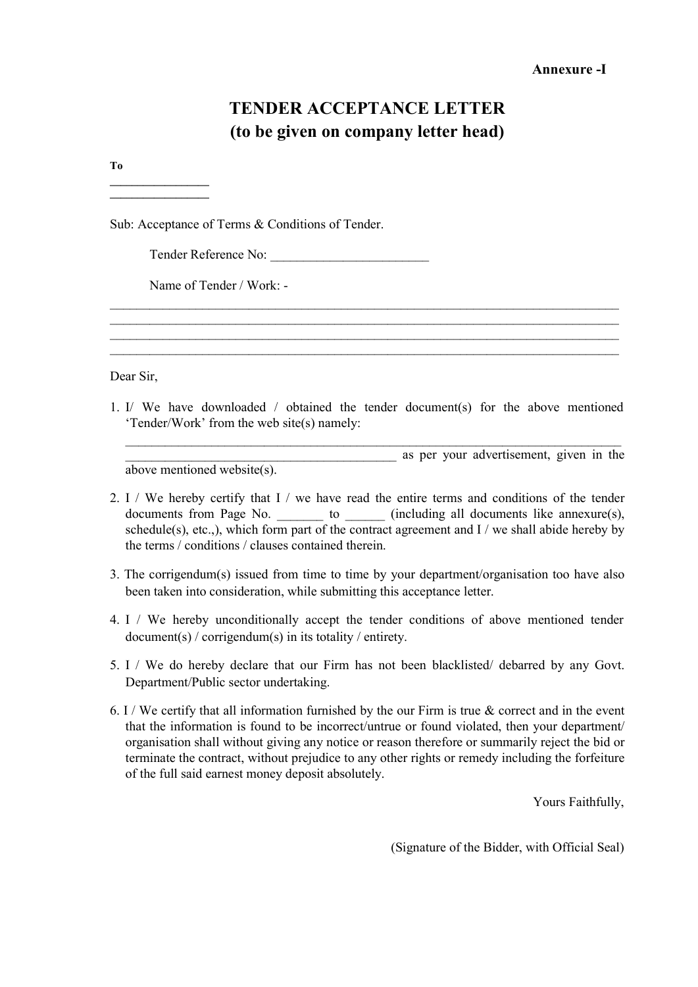### **TENDER ACCEPTANCE LETTER (to be given on company letter head)**

**To**

**\_\_\_\_\_\_\_\_\_\_\_\_\_\_\_\_\_\_ \_\_\_\_\_\_\_\_\_\_\_\_\_\_\_\_\_\_**

Sub: Acceptance of Terms & Conditions of Tender.

Tender Reference No:

Name of Tender / Work: -

Dear Sir,

1. I/ We have downloaded / obtained the tender document(s) for the above mentioned 'Tender/Work' from the web site(s) namely:

\_\_\_\_\_\_\_\_\_\_\_\_\_\_\_\_\_\_\_\_\_\_\_\_\_\_\_\_\_\_\_\_\_\_\_\_\_\_\_\_\_\_\_\_\_\_\_\_\_\_\_\_\_\_\_\_\_\_\_\_\_\_\_\_\_\_\_\_\_\_\_\_\_\_\_\_\_ \_\_\_\_\_\_\_\_\_\_\_\_\_\_\_\_\_\_\_\_\_\_\_\_\_\_\_\_\_\_\_\_\_\_\_\_\_\_\_\_\_\_\_\_\_\_\_\_\_\_\_\_\_\_\_\_\_\_\_\_\_\_\_\_\_\_\_\_\_\_\_\_\_\_\_\_\_ \_\_\_\_\_\_\_\_\_\_\_\_\_\_\_\_\_\_\_\_\_\_\_\_\_\_\_\_\_\_\_\_\_\_\_\_\_\_\_\_\_\_\_\_\_\_\_\_\_\_\_\_\_\_\_\_\_\_\_\_\_\_\_\_\_\_\_\_\_\_\_\_\_\_\_\_\_ \_\_\_\_\_\_\_\_\_\_\_\_\_\_\_\_\_\_\_\_\_\_\_\_\_\_\_\_\_\_\_\_\_\_\_\_\_\_\_\_\_\_\_\_\_\_\_\_\_\_\_\_\_\_\_\_\_\_\_\_\_\_\_\_\_\_\_\_\_\_\_\_\_\_\_\_\_

\_\_\_\_\_\_\_\_\_\_\_\_\_\_\_\_\_\_\_\_\_\_\_\_\_\_\_\_\_\_\_\_\_\_\_\_\_\_\_\_\_\_\_\_\_\_\_\_\_\_\_\_\_\_\_\_\_\_\_\_\_\_\_\_\_\_\_\_\_\_\_\_\_\_\_ \_\_\_\_\_\_\_\_\_\_\_\_\_\_\_\_\_\_\_\_\_\_\_\_\_\_\_\_\_\_\_\_\_\_\_\_\_\_\_\_\_ as per your advertisement, given in the

above mentioned website(s).

- 2. I / We hereby certify that I / we have read the entire terms and conditions of the tender documents from Page No. \_\_\_\_\_\_\_\_ to \_\_\_\_\_\_ (including all documents like annexure(s), schedule(s), etc.,), which form part of the contract agreement and  $I /$  we shall abide hereby by the terms / conditions / clauses contained therein.
- 3. The corrigendum(s) issued from time to time by your department/organisation too have also been taken into consideration, while submitting this acceptance letter.
- 4. I / We hereby unconditionally accept the tender conditions of above mentioned tender document(s) / corrigendum(s) in its totality / entirety.
- 5. I / We do hereby declare that our Firm has not been blacklisted/ debarred by any Govt. Department/Public sector undertaking.
- 6. I / We certify that all information furnished by the our Firm is true & correct and in the event that the information is found to be incorrect/untrue or found violated, then your department/ organisation shall without giving any notice or reason therefore or summarily reject the bid or terminate the contract, without prejudice to any other rights or remedy including the forfeiture of the full said earnest money deposit absolutely.

Yours Faithfully,

(Signature of the Bidder, with Official Seal)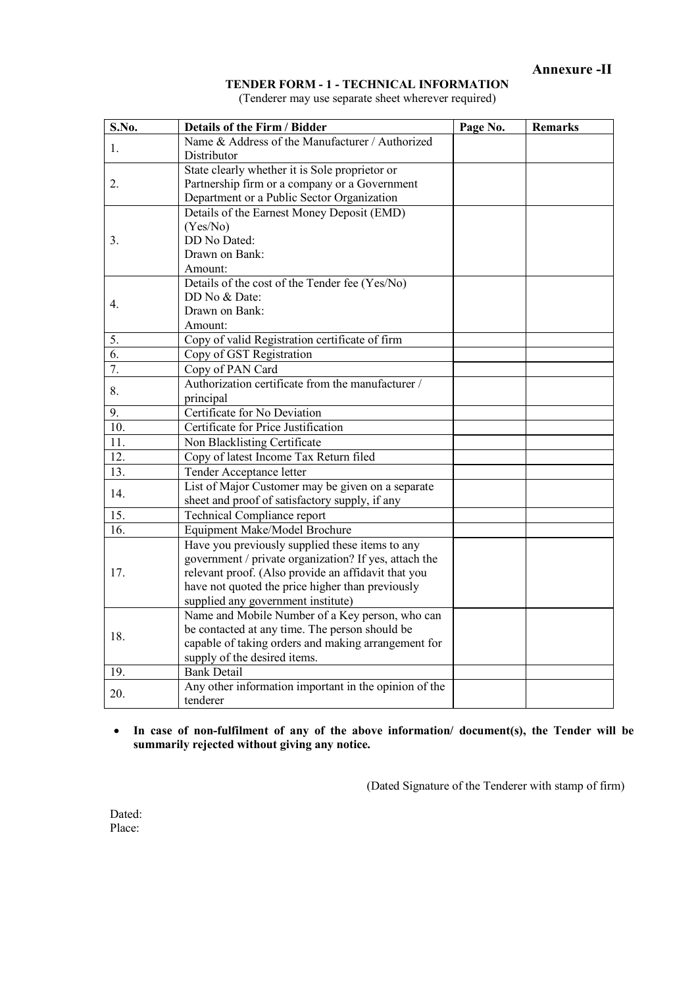#### **TENDER FORM - 1 - TECHNICAL INFORMATION**

(Tenderer may use separate sheet wherever required)

| S.No.          | <b>Details of the Firm / Bidder</b>                   | Page No. | <b>Remarks</b> |
|----------------|-------------------------------------------------------|----------|----------------|
| 1.             | Name & Address of the Manufacturer / Authorized       |          |                |
|                | Distributor                                           |          |                |
|                | State clearly whether it is Sole proprietor or        |          |                |
| 2.             | Partnership firm or a company or a Government         |          |                |
|                | Department or a Public Sector Organization            |          |                |
|                | Details of the Earnest Money Deposit (EMD)            |          |                |
|                | (Yes/No)                                              |          |                |
| 3.             | DD No Dated:                                          |          |                |
|                | Drawn on Bank:                                        |          |                |
|                | Amount:                                               |          |                |
|                | Details of the cost of the Tender fee (Yes/No)        |          |                |
| $4_{\cdot}$    | DD No & Date:                                         |          |                |
|                | Drawn on Bank:                                        |          |                |
|                | Amount:                                               |          |                |
| 5 <sub>1</sub> | Copy of valid Registration certificate of firm        |          |                |
| 6.             | Copy of GST Registration                              |          |                |
| 7.             | Copy of PAN Card                                      |          |                |
| 8.             | Authorization certificate from the manufacturer /     |          |                |
|                | principal                                             |          |                |
| 9.             | Certificate for No Deviation                          |          |                |
| 10.            | Certificate for Price Justification                   |          |                |
| 11.            | Non Blacklisting Certificate                          |          |                |
| 12.            | Copy of latest Income Tax Return filed                |          |                |
| 13.            | Tender Acceptance letter                              |          |                |
| 14.            | List of Major Customer may be given on a separate     |          |                |
|                | sheet and proof of satisfactory supply, if any        |          |                |
| 15.            | Technical Compliance report                           |          |                |
| 16.            | Equipment Make/Model Brochure                         |          |                |
|                | Have you previously supplied these items to any       |          |                |
|                | government / private organization? If yes, attach the |          |                |
| 17.            | relevant proof. (Also provide an affidavit that you   |          |                |
|                | have not quoted the price higher than previously      |          |                |
|                | supplied any government institute)                    |          |                |
|                | Name and Mobile Number of a Key person, who can       |          |                |
| 18.            | be contacted at any time. The person should be        |          |                |
|                | capable of taking orders and making arrangement for   |          |                |
|                | supply of the desired items.                          |          |                |
| 19.            | <b>Bank Detail</b>                                    |          |                |
| 20.            | Any other information important in the opinion of the |          |                |
|                | tenderer                                              |          |                |

#### **In case of non-fulfilment of any of the above information/ document(s), the Tender will be summarily rejected without giving any notice.**

(Dated Signature of the Tenderer with stamp of firm)

Dated: Place: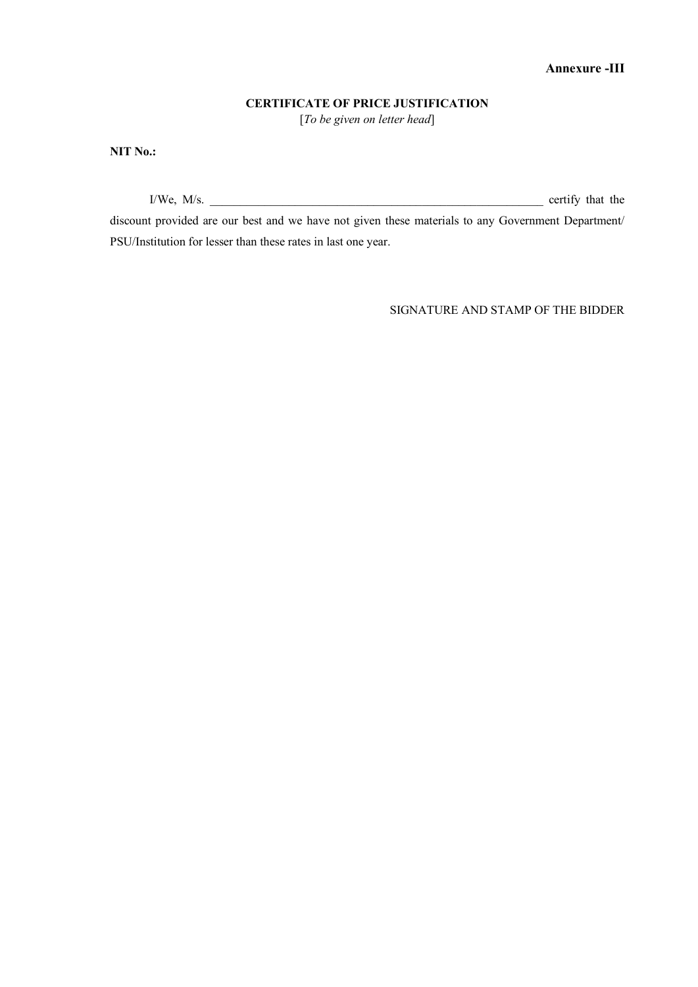### **CERTIFICATE OF PRICE JUSTIFICATION**

[*To be given on letter head*]

**NIT No.:**

 $I/We$ ,  $M/s$ .  $\qquad \qquad$  certify that the

discount provided are our best and we have not given these materials to any Government Department/ PSU/Institution for lesser than these rates in last one year.

SIGNATURE AND STAMP OF THE BIDDER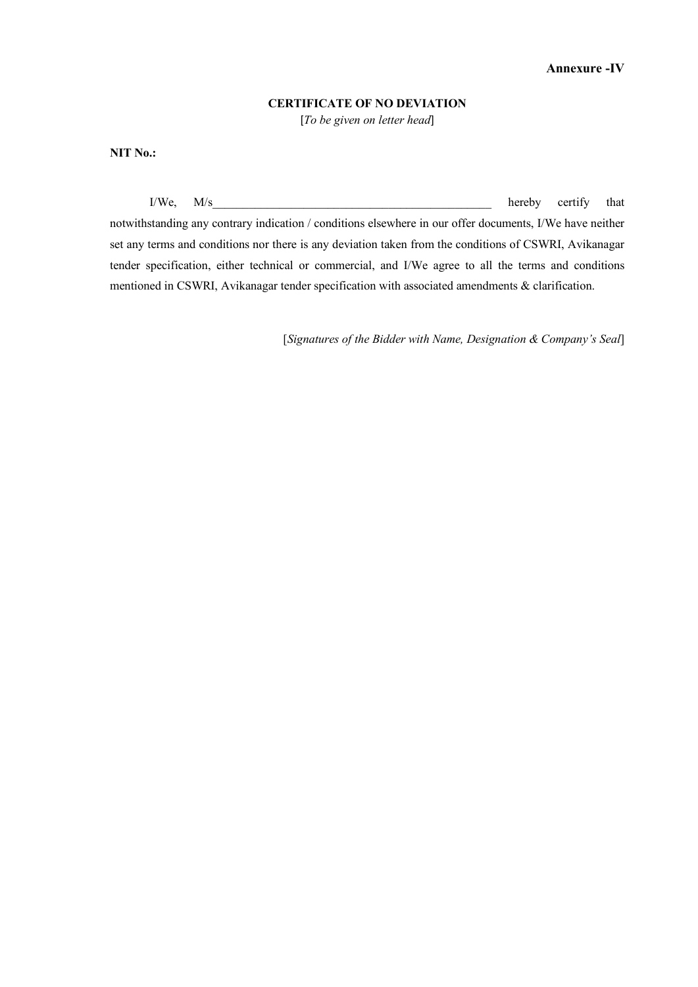#### **CERTIFICATE OF NO DEVIATION**

[*To be given on letter head*]

**NIT No.:**

 $I/W$ e,  $M/s$  hereby certify that notwithstanding any contrary indication / conditions elsewhere in our offer documents, I/We have neither set any terms and conditions nor there is any deviation taken from the conditions of CSWRI, Avikanagar tender specification, either technical or commercial, and I/We agree to all the terms and conditions mentioned in CSWRI, Avikanagar tender specification with associated amendments & clarification.

[*Signatures of the Bidder with Name, Designation & Company's Seal*]